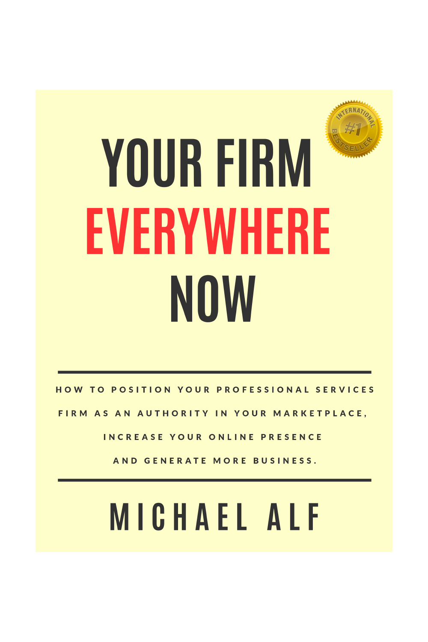

# **YOUR FIRM EVERYWHERE** NOW

TO POSITION YOUR PROFESSIONAL SERVICES

FIRM AS AN AUTHORITY IN YOUR MARKETPLACE.

**INCREASE YOUR ONLINE PRESENCE** 

AND GENERATE MORE BUSINESS.

## **MICHAEL ALF**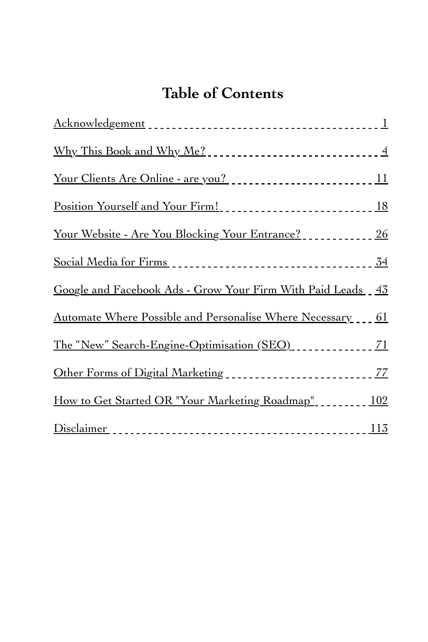#### **Table of Contents**

| <u>Your Clients Are Online - are you?</u> _________________________11                                      |  |
|------------------------------------------------------------------------------------------------------------|--|
| Position Yourself and Your Firm! ______________________ 18                                                 |  |
| <u> Your Website - Are You Blocking Your Entrance? [111]</u>                                               |  |
|                                                                                                            |  |
| Google and Facebook Ads - Grow Your Firm With Paid Leads 43                                                |  |
| <u>Automate Where Possible and Personalise Where Necessary [161]</u>                                       |  |
| The "New" Search-Engine-Optimisation (SEO) [11][21][21][21][21] The "New" Search-Engine-Optimisation (SEO) |  |
| <u>Other Forms of Digital Marketing _________________________ 77</u>                                       |  |
| How to Get Started OR "Your Marketing Roadmap"  102                                                        |  |
|                                                                                                            |  |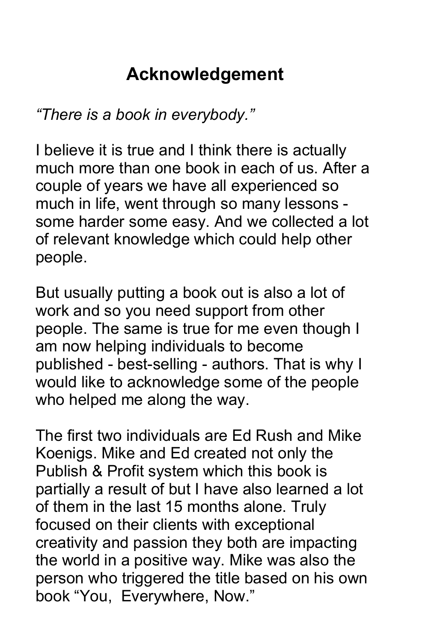### **Acknowledgement**

<span id="page-2-0"></span>*"There is a book in everybody."* 

I believe it is true and I think there is actually much more than one book in each of us. After a couple of years we have all experienced so much in life, went through so many lessons some harder some easy. And we collected a lot of relevant knowledge which could help other people.

But usually putting a book out is also a lot of work and so you need support from other people. The same is true for me even though I am now helping individuals to become published - best-selling - authors. That is why I would like to acknowledge some of the people who helped me along the way.

The first two individuals are Ed Rush and Mike Koenigs. Mike and Ed created not only the Publish & Profit system which this book is partially a result of but I have also learned a lot of them in the last 15 months alone. Truly focused on their clients with exceptional creativity and passion they both are impacting the world in a positive way. Mike was also the person who triggered the title based on his own book "You, Everywhere, Now."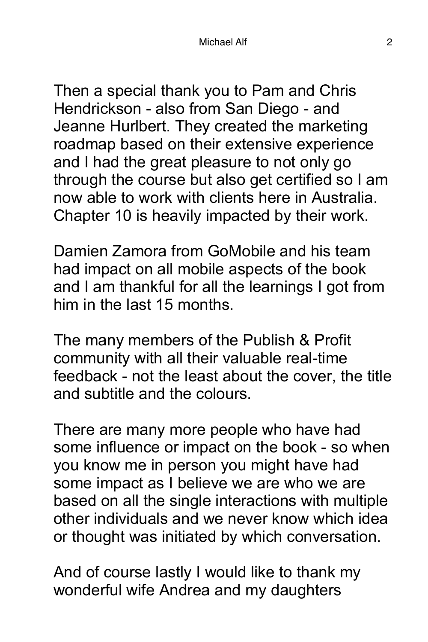Then a special thank you to Pam and Chris Hendrickson - also from San Diego - and Jeanne Hurlbert. They created the marketing roadmap based on their extensive experience and I had the great pleasure to not only go through the course but also get certified so I am now able to work with clients here in Australia. Chapter 10 is heavily impacted by their work.

Damien Zamora from GoMobile and his team had impact on all mobile aspects of the book and I am thankful for all the learnings I got from him in the last 15 months.

The many members of the Publish & Profit community with all their valuable real-time feedback - not the least about the cover, the title and subtitle and the colours.

There are many more people who have had some influence or impact on the book - so when you know me in person you might have had some impact as I believe we are who we are based on all the single interactions with multiple other individuals and we never know which idea or thought was initiated by which conversation.

And of course lastly I would like to thank my wonderful wife Andrea and my daughters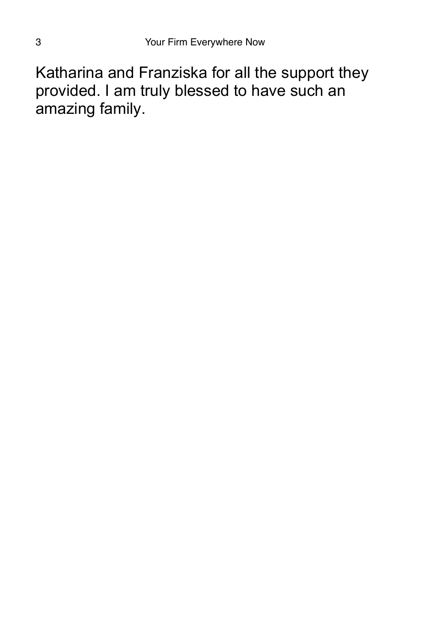Katharina and Franziska for all the support they provided. I am truly blessed to have such an amazing family.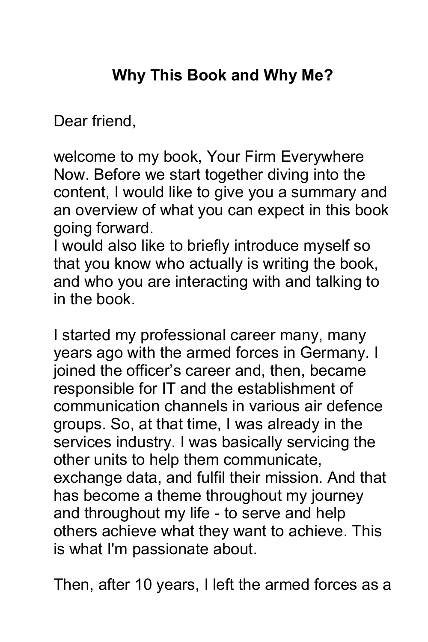<span id="page-5-0"></span>Dear friend,

welcome to my book, Your Firm Everywhere Now. Before we start together diving into the content, I would like to give you a summary and an overview of what you can expect in this book going forward.

I would also like to briefly introduce myself so that you know who actually is writing the book, and who you are interacting with and talking to in the book.

I started my professional career many, many years ago with the armed forces in Germany. I joined the officer's career and, then, became responsible for IT and the establishment of communication channels in various air defence groups. So, at that time, I was already in the services industry. I was basically servicing the other units to help them communicate, exchange data, and fulfil their mission. And that has become a theme throughout my journey and throughout my life - to serve and help others achieve what they want to achieve. This is what I'm passionate about.

Then, after 10 years, I left the armed forces as a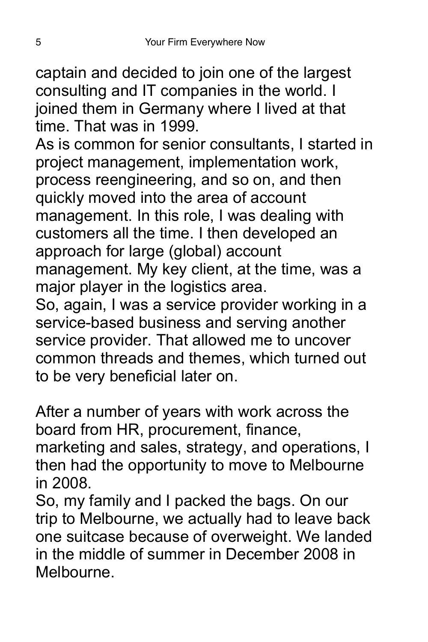captain and decided to join one of the largest consulting and IT companies in the world. I joined them in Germany where I lived at that time. That was in 1999.

As is common for senior consultants, I started in project management, implementation work, process reengineering, and so on, and then quickly moved into the area of account management. In this role, I was dealing with customers all the time. I then developed an approach for large (global) account management. My key client, at the time, was a major player in the logistics area.

So, again, I was a service provider working in a service-based business and serving another service provider. That allowed me to uncover common threads and themes, which turned out to be very beneficial later on.

After a number of years with work across the board from HR, procurement, finance, marketing and sales, strategy, and operations, I

then had the opportunity to move to Melbourne in 2008.

So, my family and I packed the bags. On our trip to Melbourne, we actually had to leave back one suitcase because of overweight. We landed in the middle of summer in December 2008 in Melbourne.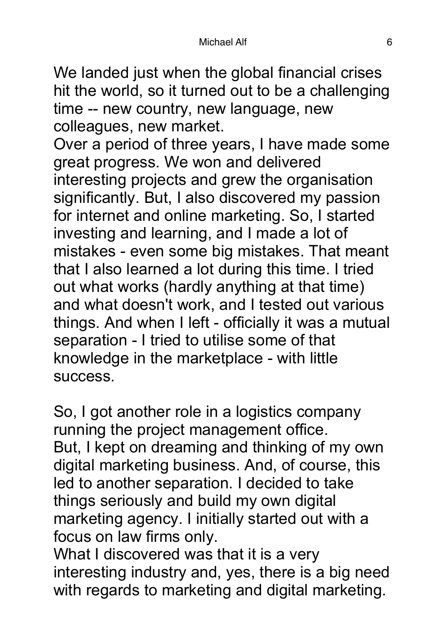We landed just when the global financial crises hit the world, so it turned out to be a challenging time -- new country, new language, new colleagues, new market.

Over a period of three years, I have made some great progress. We won and delivered interesting projects and grew the organisation significantly. But, I also discovered my passion for internet and online marketing. So, I started investing and learning, and I made a lot of mistakes - even some big mistakes. That meant that I also learned a lot during this time. I tried out what works (hardly anything at that time) and what doesn't work, and I tested out various things. And when I left - officially it was a mutual separation - I tried to utilise some of that knowledge in the marketplace - with little success.

So, I got another role in a logistics company running the project management office. But, I kept on dreaming and thinking of my own digital marketing business. And, of course, this led to another separation. I decided to take things seriously and build my own digital marketing agency. I initially started out with a focus on law firms only.

What I discovered was that it is a very interesting industry and, yes, there is a big need with regards to marketing and digital marketing.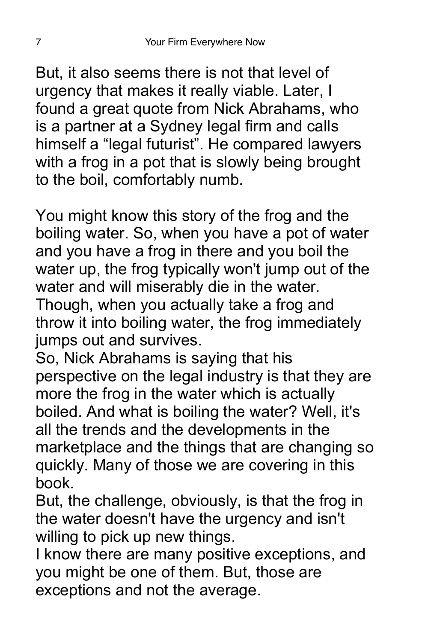But, it also seems there is not that level of urgency that makes it really viable. Later, I found a great quote from Nick Abrahams, who is a partner at a Sydney legal firm and calls himself a "legal futurist". He compared lawyers with a frog in a pot that is slowly being brought to the boil, comfortably numb.

You might know this story of the frog and the boiling water. So, when you have a pot of water and you have a frog in there and you boil the water up, the frog typically won't jump out of the water and will miserably die in the water. Though, when you actually take a frog and throw it into boiling water, the frog immediately jumps out and survives.

So, Nick Abrahams is saying that his perspective on the legal industry is that they are more the frog in the water which is actually boiled. And what is boiling the water? Well, it's all the trends and the developments in the marketplace and the things that are changing so quickly. Many of those we are covering in this book.

But, the challenge, obviously, is that the frog in the water doesn't have the urgency and isn't willing to pick up new things.

I know there are many positive exceptions, and you might be one of them. But, those are exceptions and not the average.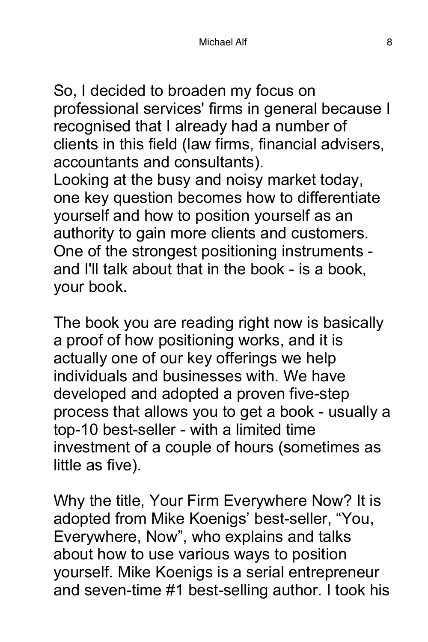So, I decided to broaden my focus on professional services' firms in general because I recognised that I already had a number of clients in this field (law firms, financial advisers, accountants and consultants). Looking at the busy and noisy market today, one key question becomes how to differentiate yourself and how to position yourself as an authority to gain more clients and customers. One of the strongest positioning instruments and I'll talk about that in the book - is a book, your book.

The book you are reading right now is basically a proof of how positioning works, and it is actually one of our key offerings we help individuals and businesses with. We have developed and adopted a proven five-step process that allows you to get a book - usually a top-10 best-seller - with a limited time investment of a couple of hours (sometimes as little as five).

Why the title, Your Firm Everywhere Now? It is adopted from Mike Koenigs' best-seller, "You, Everywhere, Now", who explains and talks about how to use various ways to position yourself. Mike Koenigs is a serial entrepreneur and seven-time #1 best-selling author. I took his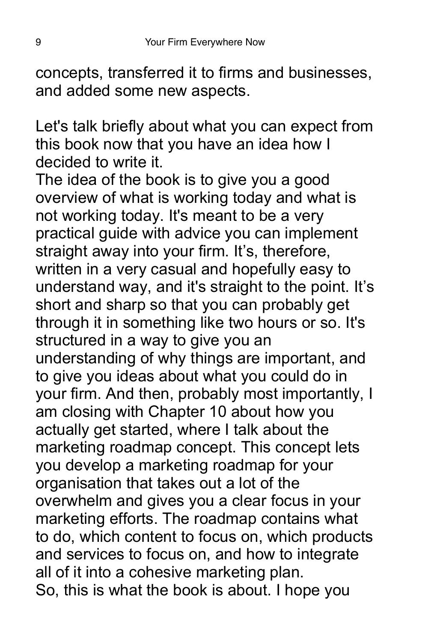concepts, transferred it to firms and businesses, and added some new aspects.

Let's talk briefly about what you can expect from this book now that you have an idea how I decided to write it.

The idea of the book is to give you a good overview of what is working today and what is not working today. It's meant to be a very practical guide with advice you can implement straight away into your firm. It's, therefore, written in a very casual and hopefully easy to understand way, and it's straight to the point. It's short and sharp so that you can probably get through it in something like two hours or so. It's structured in a way to give you an understanding of why things are important, and to give you ideas about what you could do in your firm. And then, probably most importantly, I am closing with Chapter 10 about how you actually get started, where I talk about the marketing roadmap concept. This concept lets you develop a marketing roadmap for your organisation that takes out a lot of the overwhelm and gives you a clear focus in your marketing efforts. The roadmap contains what to do, which content to focus on, which products and services to focus on, and how to integrate all of it into a cohesive marketing plan. So, this is what the book is about. I hope you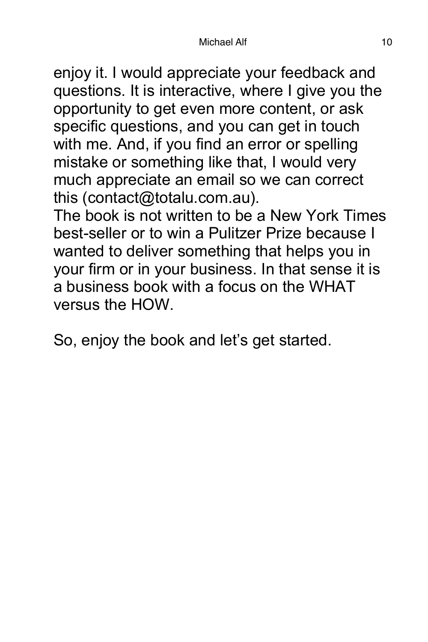enjoy it. I would appreciate your feedback and questions. It is interactive, where I give you the opportunity to get even more content, or ask specific questions, and you can get in touch with me. And, if you find an error or spelling mistake or something like that, I would very much appreciate an email so we can correct this ([contact@totalu.com.au\)](mailto:contact@totalu.com.au).

The book is not written to be a New York Times best-seller or to win a Pulitzer Prize because I wanted to deliver something that helps you in your firm or in your business. In that sense it is a business book with a focus on the WHAT versus the HOW.

So, enjoy the book and let's get started.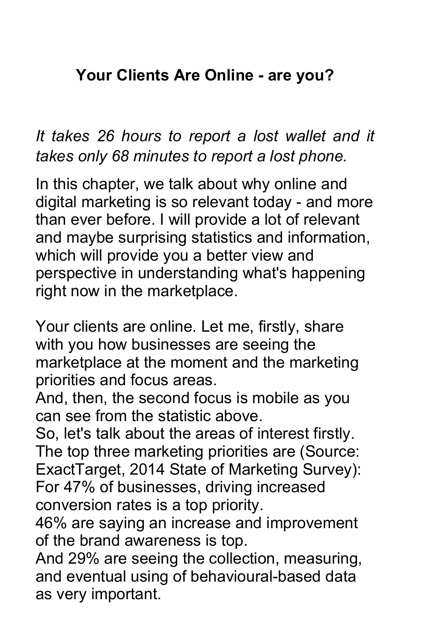#### <span id="page-12-0"></span>**Your Clients Are Online - are you?**

#### *It takes 26 hours to report a lost wallet and it takes only 68 minutes to report a lost phone.*

In this chapter, we talk about why online and digital marketing is so relevant today - and more than ever before. I will provide a lot of relevant and maybe surprising statistics and information, which will provide you a better view and perspective in understanding what's happening right now in the marketplace.

Your clients are online. Let me, firstly, share with you how businesses are seeing the marketplace at the moment and the marketing priorities and focus areas.

And, then, the second focus is mobile as you can see from the statistic above.

So, let's talk about the areas of interest firstly. The top three marketing priorities are (Source: ExactTarget, 2014 State of Marketing Survey): For 47% of businesses, driving increased conversion rates is a top priority.

46% are saying an increase and improvement of the brand awareness is top.

And 29% are seeing the collection, measuring, and eventual using of behavioural-based data as very important.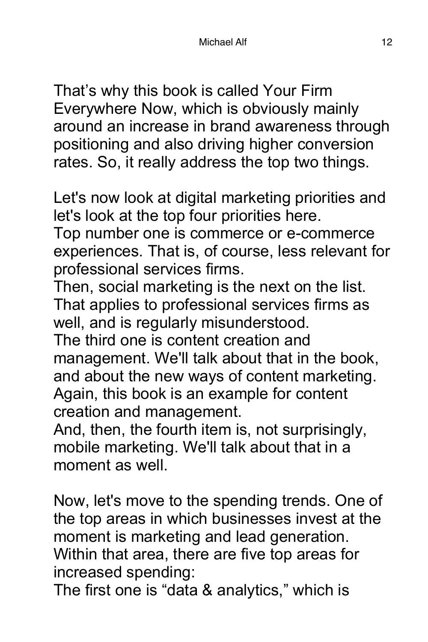That's why this book is called Your Firm Everywhere Now, which is obviously mainly around an increase in brand awareness through positioning and also driving higher conversion rates. So, it really address the top two things.

Let's now look at digital marketing priorities and let's look at the top four priorities here. Top number one is commerce or e-commerce experiences. That is, of course, less relevant for professional services firms. Then, social marketing is the next on the list. That applies to professional services firms as

well, and is regularly misunderstood.

The third one is content creation and management. We'll talk about that in the book, and about the new ways of content marketing. Again, this book is an example for content creation and management.

And, then, the fourth item is, not surprisingly, mobile marketing. We'll talk about that in a moment as well

Now, let's move to the spending trends. One of the top areas in which businesses invest at the moment is marketing and lead generation. Within that area, there are five top areas for increased spending:

The first one is "data & analytics," which is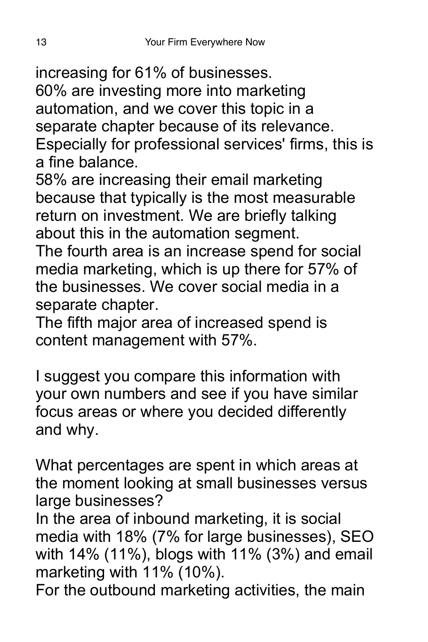increasing for 61% of businesses. 60% are investing more into marketing automation, and we cover this topic in a separate chapter because of its relevance. Especially for professional services' firms, this is a fine balance.

58% are increasing their email marketing because that typically is the most measurable return on investment. We are briefly talking about this in the automation segment.

The fourth area is an increase spend for social media marketing, which is up there for 57% of the businesses. We cover social media in a separate chapter.

The fifth major area of increased spend is content management with 57%.

I suggest you compare this information with your own numbers and see if you have similar focus areas or where you decided differently and why.

What percentages are spent in which areas at the moment looking at small businesses versus large businesses?

In the area of inbound marketing, it is social media with 18% (7% for large businesses), SEO with 14% (11%), blogs with 11% (3%) and email marketing with 11% (10%).

For the outbound marketing activities, the main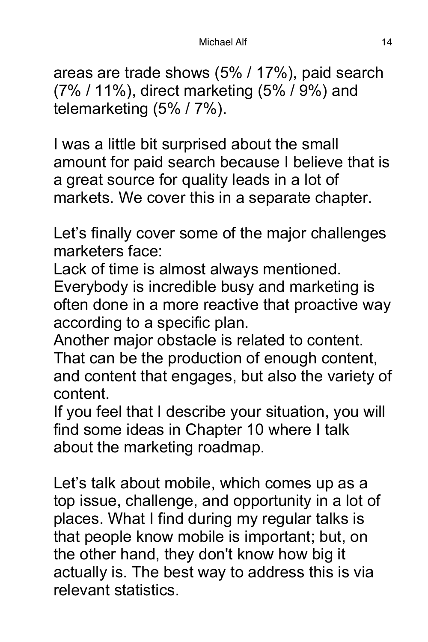areas are trade shows (5% / 17%), paid search (7% / 11%), direct marketing (5% / 9%) and telemarketing (5% / 7%).

I was a little bit surprised about the small amount for paid search because I believe that is a great source for quality leads in a lot of markets. We cover this in a separate chapter.

Let's finally cover some of the major challenges marketers face:

Lack of time is almost always mentioned. Everybody is incredible busy and marketing is often done in a more reactive that proactive way according to a specific plan.

Another major obstacle is related to content. That can be the production of enough content, and content that engages, but also the variety of content.

If you feel that I describe your situation, you will find some ideas in Chapter 10 where I talk about the marketing roadmap.

Let's talk about mobile, which comes up as a top issue, challenge, and opportunity in a lot of places. What I find during my regular talks is that people know mobile is important; but, on the other hand, they don't know how big it actually is. The best way to address this is via relevant statistics.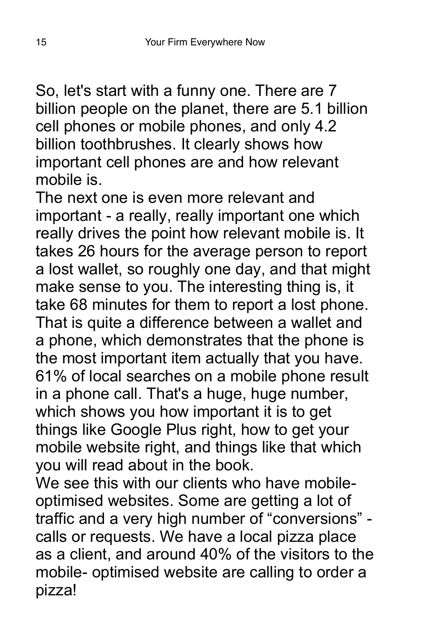So, let's start with a funny one. There are 7 billion people on the planet, there are 5.1 billion cell phones or mobile phones, and only 4.2 billion toothbrushes. It clearly shows how important cell phones are and how relevant mobile is.

The next one is even more relevant and important - a really, really important one which really drives the point how relevant mobile is. It takes 26 hours for the average person to report a lost wallet, so roughly one day, and that might make sense to you. The interesting thing is, it take 68 minutes for them to report a lost phone. That is quite a difference between a wallet and a phone, which demonstrates that the phone is the most important item actually that you have. 61% of local searches on a mobile phone result in a phone call. That's a huge, huge number, which shows you how important it is to get things like Google Plus right, how to get your mobile website right, and things like that which you will read about in the book.

We see this with our clients who have mobileoptimised websites. Some are getting a lot of traffic and a very high number of "conversions" calls or requests. We have a local pizza place as a client, and around 40% of the visitors to the mobile- optimised website are calling to order a pizza!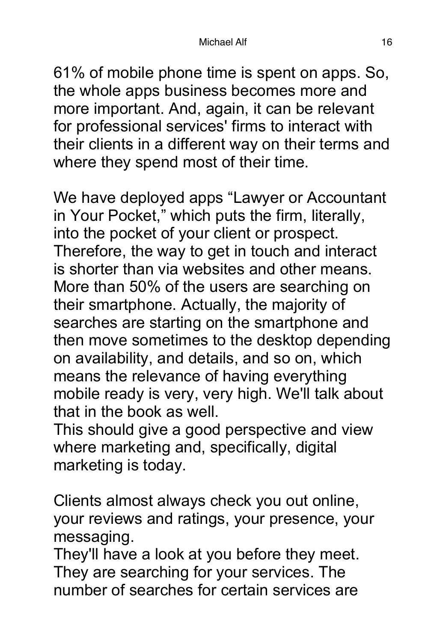61% of mobile phone time is spent on apps. So, the whole apps business becomes more and more important. And, again, it can be relevant for professional services' firms to interact with their clients in a different way on their terms and where they spend most of their time.

We have deployed apps "Lawyer or Accountant in Your Pocket," which puts the firm, literally, into the pocket of your client or prospect. Therefore, the way to get in touch and interact is shorter than via websites and other means. More than 50% of the users are searching on their smartphone. Actually, the majority of searches are starting on the smartphone and then move sometimes to the desktop depending on availability, and details, and so on, which means the relevance of having everything mobile ready is very, very high. We'll talk about that in the book as well.

This should give a good perspective and view where marketing and, specifically, digital marketing is today.

Clients almost always check you out online, your reviews and ratings, your presence, your messaging.

They'll have a look at you before they meet. They are searching for your services. The number of searches for certain services are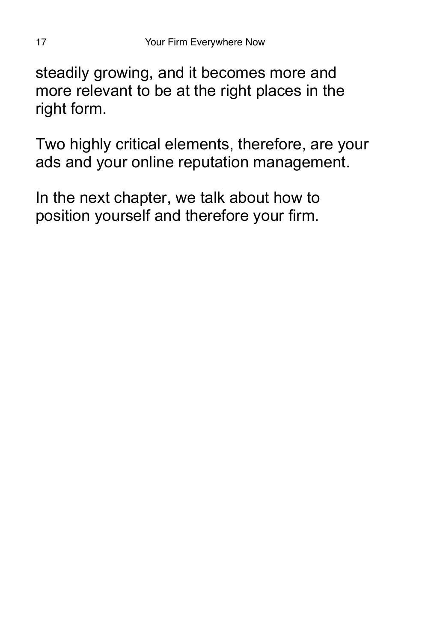steadily growing, and it becomes more and more relevant to be at the right places in the right form.

Two highly critical elements, therefore, are your ads and your online reputation management.

In the next chapter, we talk about how to position yourself and therefore your firm.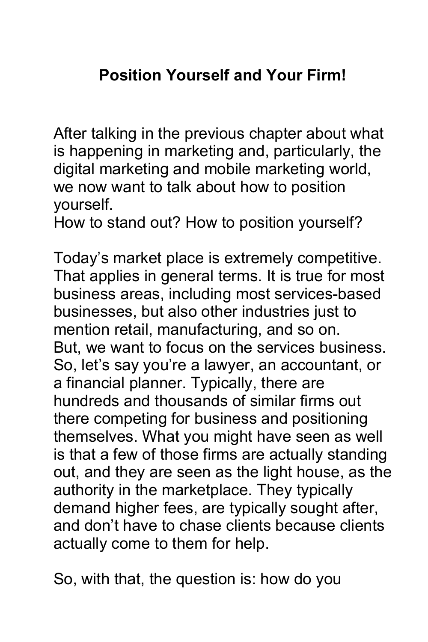<span id="page-19-0"></span>After talking in the previous chapter about what is happening in marketing and, particularly, the digital marketing and mobile marketing world, we now want to talk about how to position yourself.

How to stand out? How to position yourself?

Today's market place is extremely competitive. That applies in general terms. It is true for most business areas, including most services-based businesses, but also other industries just to mention retail, manufacturing, and so on. But, we want to focus on the services business. So, let's say you're a lawyer, an accountant, or a financial planner. Typically, there are hundreds and thousands of similar firms out there competing for business and positioning themselves. What you might have seen as well is that a few of those firms are actually standing out, and they are seen as the light house, as the authority in the marketplace. They typically demand higher fees, are typically sought after, and don't have to chase clients because clients actually come to them for help.

So, with that, the question is: how do you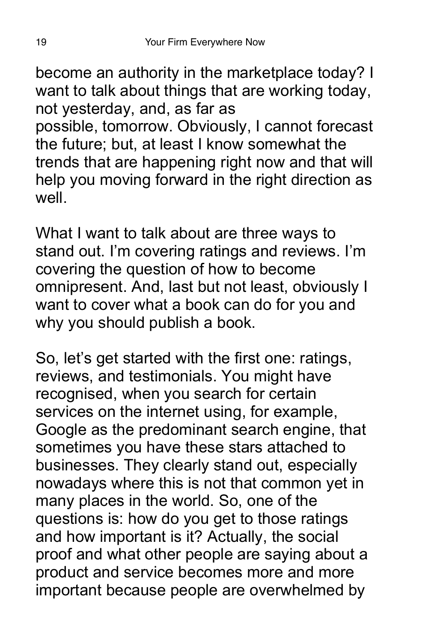become an authority in the marketplace today? I want to talk about things that are working today, not yesterday, and, as far as possible, tomorrow. Obviously, I cannot forecast the future; but, at least I know somewhat the trends that are happening right now and that will help you moving forward in the right direction as well

What I want to talk about are three ways to stand out. I'm covering ratings and reviews. I'm covering the question of how to become omnipresent. And, last but not least, obviously I want to cover what a book can do for you and why you should publish a book.

So, let's get started with the first one: ratings, reviews, and testimonials. You might have recognised, when you search for certain services on the internet using, for example, Google as the predominant search engine, that sometimes you have these stars attached to businesses. They clearly stand out, especially nowadays where this is not that common yet in many places in the world. So, one of the questions is: how do you get to those ratings and how important is it? Actually, the social proof and what other people are saying about a product and service becomes more and more important because people are overwhelmed by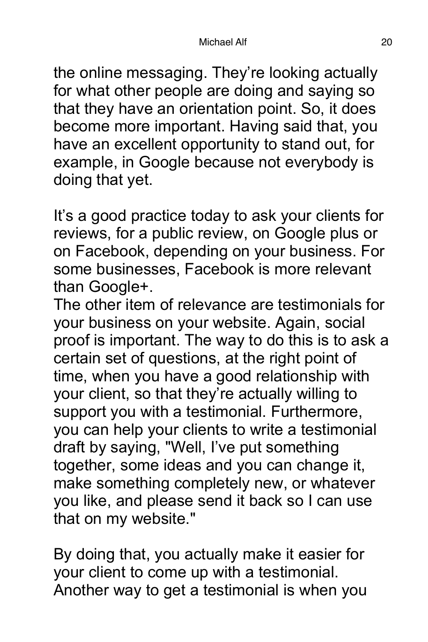the online messaging. They're looking actually for what other people are doing and saying so that they have an orientation point. So, it does become more important. Having said that, you have an excellent opportunity to stand out, for example, in Google because not everybody is doing that yet.

It's a good practice today to ask your clients for reviews, for a public review, on Google plus or on Facebook, depending on your business. For some businesses, Facebook is more relevant than Google+.

The other item of relevance are testimonials for your business on your website. Again, social proof is important. The way to do this is to ask a certain set of questions, at the right point of time, when you have a good relationship with your client, so that they're actually willing to support you with a testimonial. Furthermore, you can help your clients to write a testimonial draft by saying, "Well, I've put something together, some ideas and you can change it, make something completely new, or whatever you like, and please send it back so I can use that on my website."

By doing that, you actually make it easier for your client to come up with a testimonial. Another way to get a testimonial is when you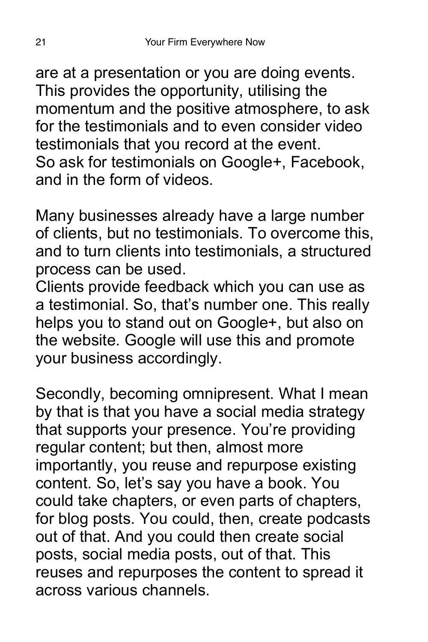are at a presentation or you are doing events. This provides the opportunity, utilising the momentum and the positive atmosphere, to ask for the testimonials and to even consider video testimonials that you record at the event. So ask for testimonials on Google+, Facebook, and in the form of videos.

Many businesses already have a large number of clients, but no testimonials. To overcome this, and to turn clients into testimonials, a structured process can be used.

Clients provide feedback which you can use as a testimonial. So, that's number one. This really helps you to stand out on Google+, but also on the website. Google will use this and promote your business accordingly.

Secondly, becoming omnipresent. What I mean by that is that you have a social media strategy that supports your presence. You're providing regular content; but then, almost more importantly, you reuse and repurpose existing content. So, let's say you have a book. You could take chapters, or even parts of chapters, for blog posts. You could, then, create podcasts out of that. And you could then create social posts, social media posts, out of that. This reuses and repurposes the content to spread it across various channels.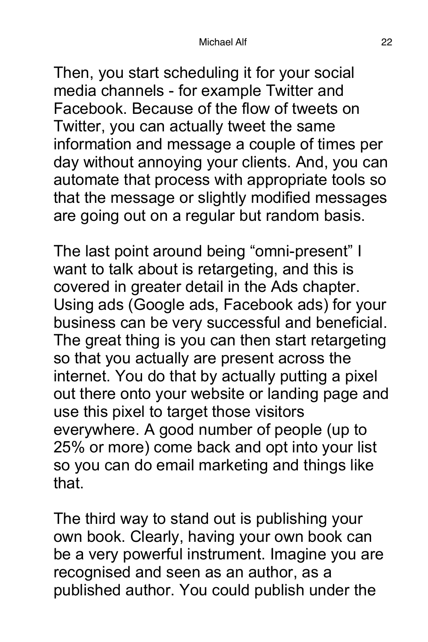Then, you start scheduling it for your social media channels - for example Twitter and Facebook. Because of the flow of tweets on Twitter, you can actually tweet the same information and message a couple of times per day without annoying your clients. And, you can automate that process with appropriate tools so that the message or slightly modified messages are going out on a regular but random basis.

The last point around being "omni-present" I want to talk about is retargeting, and this is covered in greater detail in the Ads chapter. Using ads (Google ads, Facebook ads) for your business can be very successful and beneficial. The great thing is you can then start retargeting so that you actually are present across the internet. You do that by actually putting a pixel out there onto your website or landing page and use this pixel to target those visitors everywhere. A good number of people (up to 25% or more) come back and opt into your list so you can do email marketing and things like that.

The third way to stand out is publishing your own book. Clearly, having your own book can be a very powerful instrument. Imagine you are recognised and seen as an author, as a published author. You could publish under the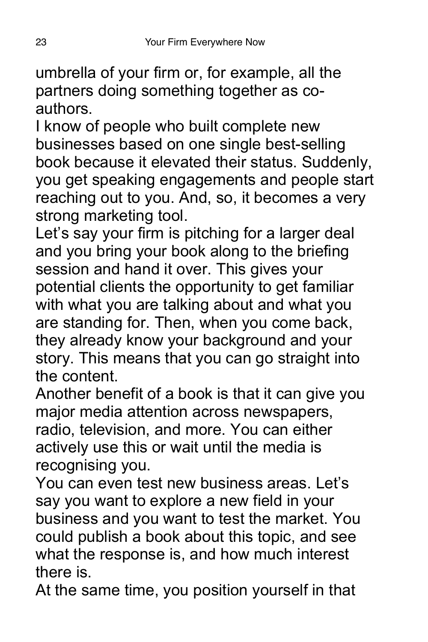umbrella of your firm or, for example, all the partners doing something together as coauthors.

I know of people who built complete new businesses based on one single best-selling book because it elevated their status. Suddenly, you get speaking engagements and people start reaching out to you. And, so, it becomes a very strong marketing tool.

Let's say your firm is pitching for a larger deal and you bring your book along to the briefing session and hand it over. This gives your potential clients the opportunity to get familiar with what you are talking about and what you are standing for. Then, when you come back, they already know your background and your story. This means that you can go straight into the content.

Another benefit of a book is that it can give you major media attention across newspapers, radio, television, and more. You can either actively use this or wait until the media is recognising you.

You can even test new business areas. Let's say you want to explore a new field in your business and you want to test the market. You could publish a book about this topic, and see what the response is, and how much interest there is.

At the same time, you position yourself in that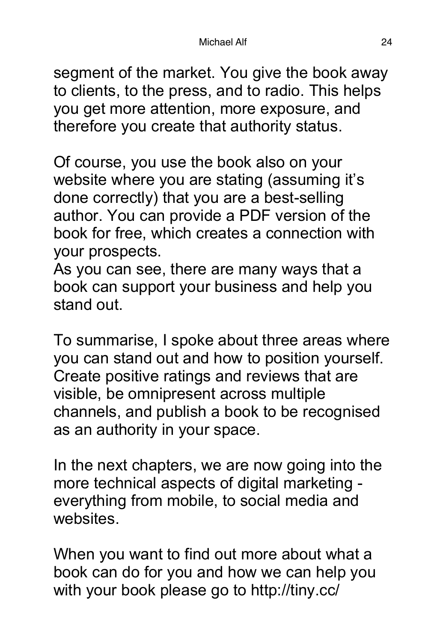segment of the market. You give the book away to clients, to the press, and to radio. This helps you get more attention, more exposure, and therefore you create that authority status.

Of course, you use the book also on your website where you are stating (assuming it's done correctly) that you are a best-selling author. You can provide a PDF version of the book for free, which creates a connection with your prospects.

As you can see, there are many ways that a book can support your business and help you stand out.

To summarise, I spoke about three areas where you can stand out and how to position yourself. Create positive ratings and reviews that are visible, be omnipresent across multiple channels, and publish a book to be recognised as an authority in your space.

In the next chapters, we are now going into the more technical aspects of digital marketing everything from mobile, to social media and websites.

When you want to find out more about what a book can do for you and how we can help you with your book please go to [http://tiny.cc/](http://tiny.cc/yfenbook)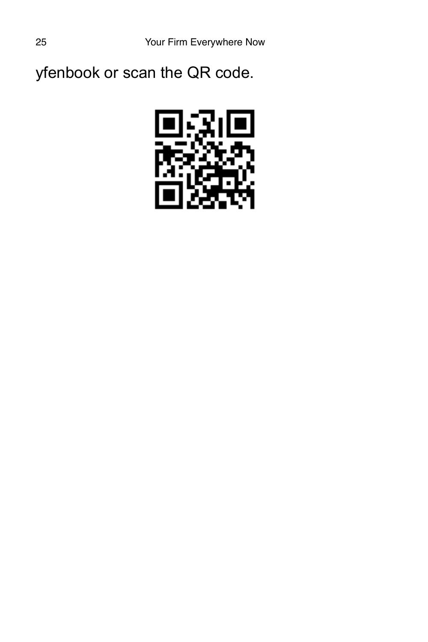#### [yfenbook](http://tiny.cc/yfenbook) or scan the QR code.

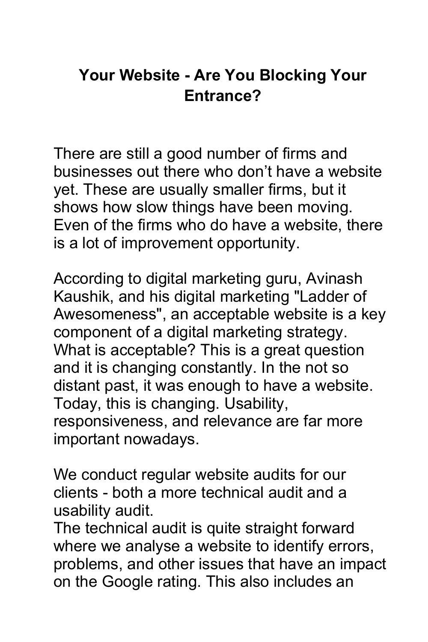#### <span id="page-27-0"></span>**Your Website - Are You Blocking Your Entrance?**

There are still a good number of firms and businesses out there who don't have a website yet. These are usually smaller firms, but it shows how slow things have been moving. Even of the firms who do have a website, there is a lot of improvement opportunity.

According to digital marketing guru, Avinash Kaushik, and his digital marketing "Ladder of Awesomeness", an acceptable website is a key component of a digital marketing strategy. What is acceptable? This is a great question and it is changing constantly. In the not so distant past, it was enough to have a website. Today, this is changing. Usability, responsiveness, and relevance are far more important nowadays.

We conduct regular website audits for our clients - both a more technical audit and a usability audit.

The technical audit is quite straight forward where we analyse a website to identify errors, problems, and other issues that have an impact on the Google rating. This also includes an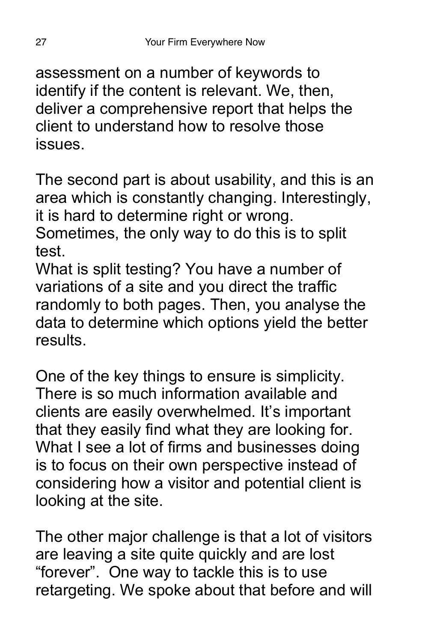assessment on a number of keywords to identify if the content is relevant. We, then, deliver a comprehensive report that helps the client to understand how to resolve those issues.

The second part is about usability, and this is an area which is constantly changing. Interestingly, it is hard to determine right or wrong. Sometimes, the only way to do this is to split test.

What is split testing? You have a number of variations of a site and you direct the traffic randomly to both pages. Then, you analyse the data to determine which options yield the better results.

One of the key things to ensure is simplicity. There is so much information available and clients are easily overwhelmed. It's important that they easily find what they are looking for. What I see a lot of firms and businesses doing is to focus on their own perspective instead of considering how a visitor and potential client is looking at the site.

The other major challenge is that a lot of visitors are leaving a site quite quickly and are lost "forever". One way to tackle this is to use retargeting. We spoke about that before and will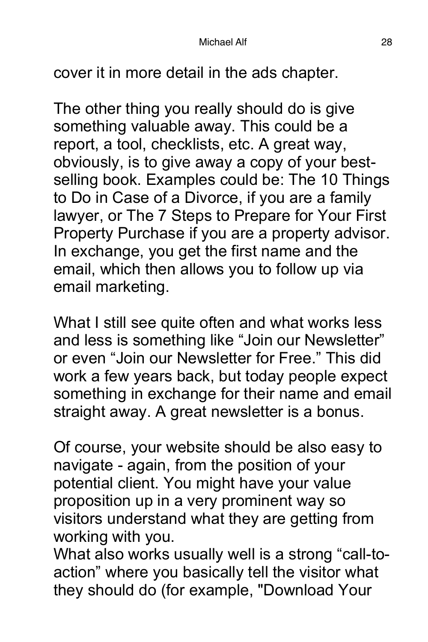cover it in more detail in the ads chapter.

The other thing you really should do is give something valuable away. This could be a report, a tool, checklists, etc. A great way, obviously, is to give away a copy of your bestselling book. Examples could be: The 10 Things to Do in Case of a Divorce, if you are a family lawyer, or The 7 Steps to Prepare for Your First Property Purchase if you are a property advisor. In exchange, you get the first name and the email, which then allows you to follow up via email marketing.

What I still see quite often and what works less and less is something like "Join our Newsletter" or even "Join our Newsletter for Free." This did work a few years back, but today people expect something in exchange for their name and email straight away. A great newsletter is a bonus.

Of course, your website should be also easy to navigate - again, from the position of your potential client. You might have your value proposition up in a very prominent way so visitors understand what they are getting from working with you.

What also works usually well is a strong "call-toaction" where you basically tell the visitor what they should do (for example, "Download Your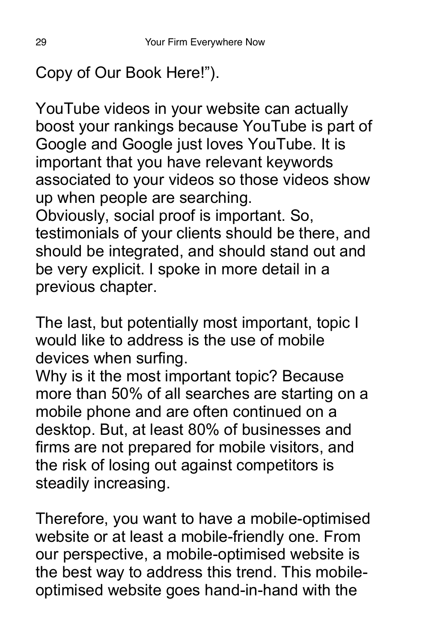#### Copy of Our Book Here!").

YouTube videos in your website can actually boost your rankings because YouTube is part of Google and Google just loves YouTube. It is important that you have relevant keywords associated to your videos so those videos show up when people are searching. Obviously, social proof is important. So, testimonials of your clients should be there, and should be integrated, and should stand out and be very explicit. I spoke in more detail in a previous chapter.

The last, but potentially most important, topic I would like to address is the use of mobile devices when surfing.

Why is it the most important topic? Because more than 50% of all searches are starting on a mobile phone and are often continued on a desktop. But, at least 80% of businesses and firms are not prepared for mobile visitors, and the risk of losing out against competitors is steadily increasing.

Therefore, you want to have a mobile-optimised website or at least a mobile-friendly one. From our perspective, a mobile-optimised website is the best way to address this trend. This mobileoptimised website goes hand-in-hand with the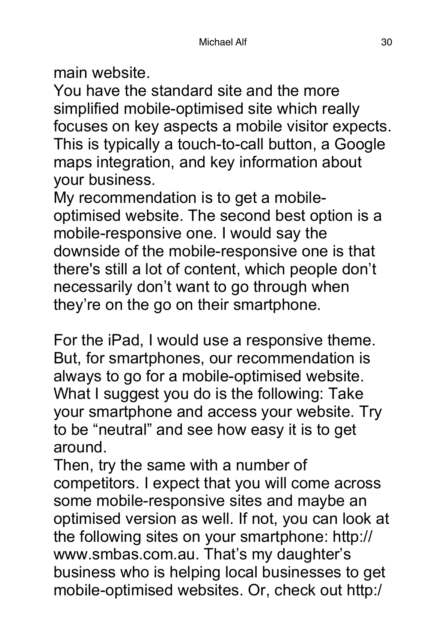main website.

You have the standard site and the more simplified mobile-optimised site which really focuses on key aspects a mobile visitor expects. This is typically a touch-to-call button, a Google maps integration, and key information about your business.

My recommendation is to get a mobileoptimised website. The second best option is a mobile-responsive one. I would say the downside of the mobile-responsive one is that there's still a lot of content, which people don't necessarily don't want to go through when they're on the go on their smartphone.

For the iPad, I would use a responsive theme. But, for smartphones, our recommendation is always to go for a mobile-optimised website. What I suggest you do is the following: Take your smartphone and access your website. Try to be "neutral" and see how easy it is to get around.

Then, try the same with a number of competitors. I expect that you will come across some mobile-responsive sites and maybe an optimised version as well. If not, you can look at the following sites on your smartphone: [http://](http://www.smbas.com.au) [www.smbas.com.au](http://www.smbas.com.au). That's my daughter's business who is helping local businesses to get mobile-optimised websites. Or, check out http:/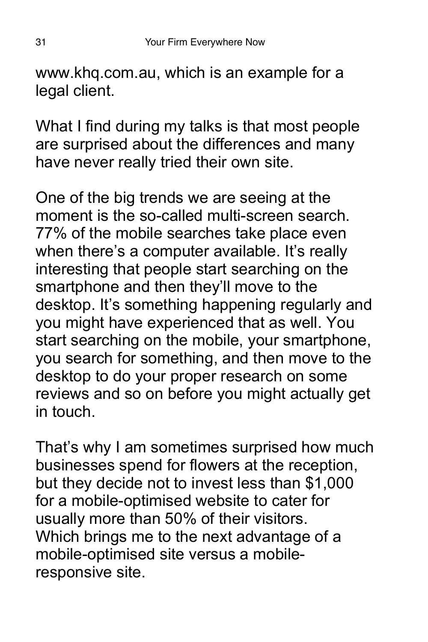[www.khq.com.au,](http://www.khq.com.au) which is an example for a legal client.

What I find during my talks is that most people are surprised about the differences and many have never really tried their own site.

One of the big trends we are seeing at the moment is the so-called multi-screen search. 77% of the mobile searches take place even when there's a computer available. It's really interesting that people start searching on the smartphone and then they'll move to the desktop. It's something happening regularly and you might have experienced that as well. You start searching on the mobile, your smartphone, you search for something, and then move to the desktop to do your proper research on some reviews and so on before you might actually get in touch.

That's why I am sometimes surprised how much businesses spend for flowers at the reception, but they decide not to invest less than \$1,000 for a mobile-optimised website to cater for usually more than 50% of their visitors. Which brings me to the next advantage of a mobile-optimised site versus a mobileresponsive site.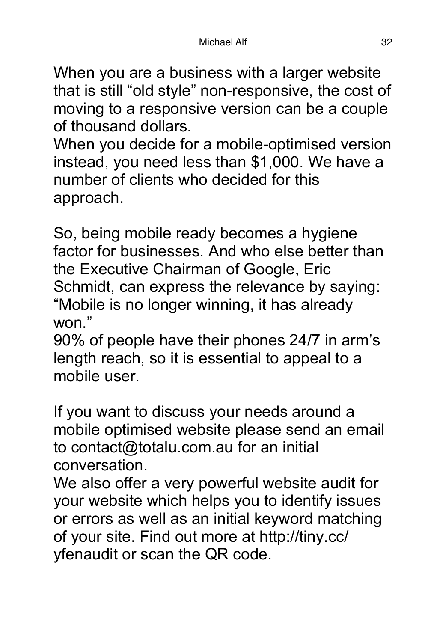When you are a business with a larger website that is still "old style" non-responsive, the cost of moving to a responsive version can be a couple of thousand dollars.

When you decide for a mobile-optimised version instead, you need less than \$1,000. We have a number of clients who decided for this approach.

So, being mobile ready becomes a hygiene factor for businesses. And who else better than the Executive Chairman of Google, Eric Schmidt, can express the relevance by saying: "Mobile is no longer winning, it has already won."

90% of people have their phones 24/7 in arm's length reach, so it is essential to appeal to a mobile user

If you want to discuss your needs around a mobile optimised website please send an email to [contact@totalu.com.au](mailto:contact@totalu.com.au) for an initial conversation.

We also offer a very powerful website audit for your website which helps you to identify issues or errors as well as an initial keyword matching of your site. Find out more at [http://tiny.cc/](http://tiny.cc/yfenaudit) [yfenaudit](http://tiny.cc/yfenaudit) or scan the QR code.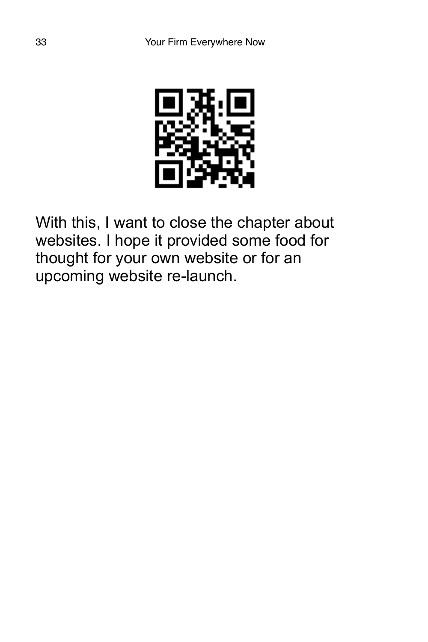

With this, I want to close the chapter about websites. I hope it provided some food for thought for your own website or for an upcoming website re-launch.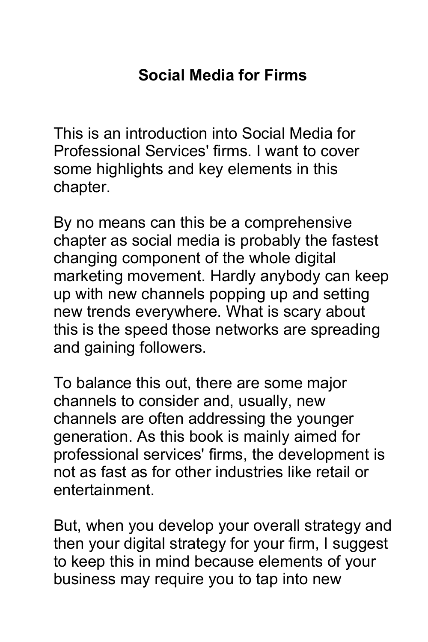#### **Social Media for Firms**

<span id="page-35-0"></span>This is an introduction into Social Media for Professional Services' firms. I want to cover some highlights and key elements in this chapter.

By no means can this be a comprehensive chapter as social media is probably the fastest changing component of the whole digital marketing movement. Hardly anybody can keep up with new channels popping up and setting new trends everywhere. What is scary about this is the speed those networks are spreading and gaining followers.

To balance this out, there are some major channels to consider and, usually, new channels are often addressing the younger generation. As this book is mainly aimed for professional services' firms, the development is not as fast as for other industries like retail or entertainment.

But, when you develop your overall strategy and then your digital strategy for your firm, I suggest to keep this in mind because elements of your business may require you to tap into new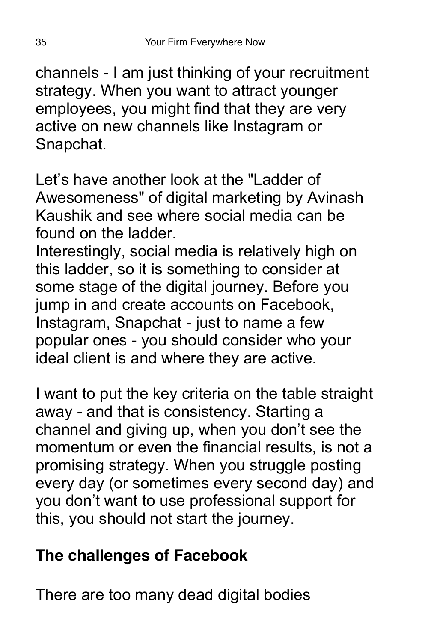channels - I am just thinking of your recruitment strategy. When you want to attract younger employees, you might find that they are very active on new channels like Instagram or Snapchat.

Let's have another look at the "Ladder of Awesomeness" of digital marketing by Avinash Kaushik and see where social media can be found on the ladder.

Interestingly, social media is relatively high on this ladder, so it is something to consider at some stage of the digital journey. Before you jump in and create accounts on Facebook, Instagram, Snapchat - just to name a few popular ones - you should consider who your ideal client is and where they are active.

I want to put the key criteria on the table straight away - and that is consistency. Starting a channel and giving up, when you don't see the momentum or even the financial results, is not a promising strategy. When you struggle posting every day (or sometimes every second day) and you don't want to use professional support for this, you should not start the journey.

## **The challenges of Facebook**

There are too many dead digital bodies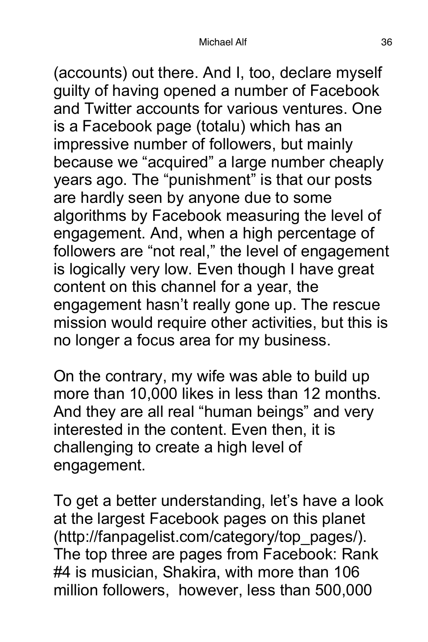(accounts) out there. And I, too, declare myself guilty of having opened a number of Facebook and Twitter accounts for various ventures. One is a Facebook page (totalu) which has an impressive number of followers, but mainly because we "acquired" a large number cheaply years ago. The "punishment" is that our posts are hardly seen by anyone due to some algorithms by Facebook measuring the level of engagement. And, when a high percentage of followers are "not real," the level of engagement is logically very low. Even though I have great content on this channel for a year, the engagement hasn't really gone up. The rescue mission would require other activities, but this is no longer a focus area for my business.

On the contrary, my wife was able to build up more than 10,000 likes in less than 12 months. And they are all real "human beings" and very interested in the content. Even then, it is challenging to create a high level of engagement.

To get a better understanding, let's have a look at the largest Facebook pages on this planet [\(http://fanpagelist.com/category/top\\_pages/\)](http://fanpagelist.com/category/top_pages/). The top three are pages from Facebook: Rank #4 is musician, Shakira, with more than 106 million followers, however, less than 500,000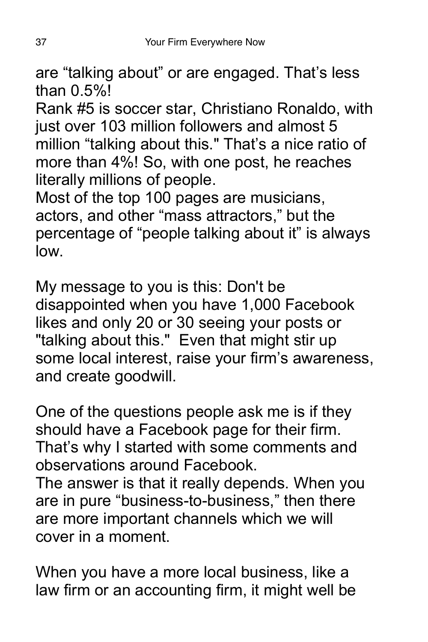are "talking about" or are engaged. That's less than  $0.5\%$ !

Rank #5 is soccer star, Christiano Ronaldo, with just over 103 million followers and almost 5 million "talking about this." That's a nice ratio of more than 4%! So, with one post, he reaches literally millions of people.

Most of the top 100 pages are musicians, actors, and other "mass attractors," but the percentage of "people talking about it" is always low.

My message to you is this: Don't be disappointed when you have 1,000 Facebook likes and only 20 or 30 seeing your posts or "talking about this." Even that might stir up some local interest, raise your firm's awareness, and create goodwill.

One of the questions people ask me is if they should have a Facebook page for their firm. That's why I started with some comments and observations around Facebook. The answer is that it really depends. When you are in pure "business-to-business," then there are more important channels which we will cover in a moment.

When you have a more local business, like a law firm or an accounting firm, it might well be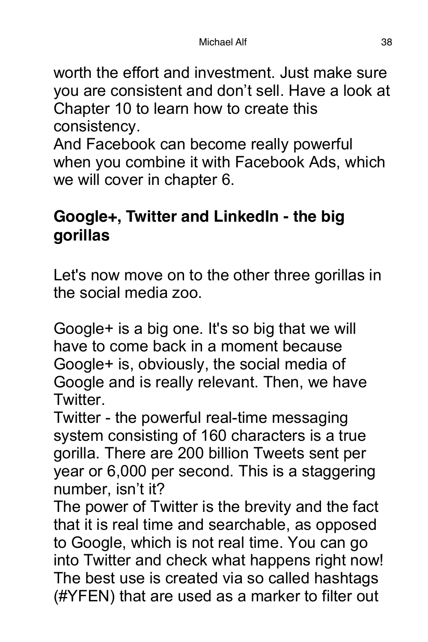worth the effort and investment. Just make sure you are consistent and don't sell. Have a look at Chapter 10 to learn how to create this consistency.

And Facebook can become really powerful when you combine it with Facebook Ads, which we will cover in chapter 6.

### **Google+, Twitter and LinkedIn - the big gorillas**

Let's now move on to the other three gorillas in the social media zoo.

Google+ is a big one. It's so big that we will have to come back in a moment because Google+ is, obviously, the social media of Google and is really relevant. Then, we have **Twitter** 

Twitter - the powerful real-time messaging system consisting of 160 characters is a true gorilla. There are 200 billion Tweets sent per year or 6,000 per second. This is a staggering number, isn't it?

The power of Twitter is the brevity and the fact that it is real time and searchable, as opposed to Google, which is not real time. You can go into Twitter and check what happens right now! The best use is created via so called hashtags (#YFEN) that are used as a marker to filter out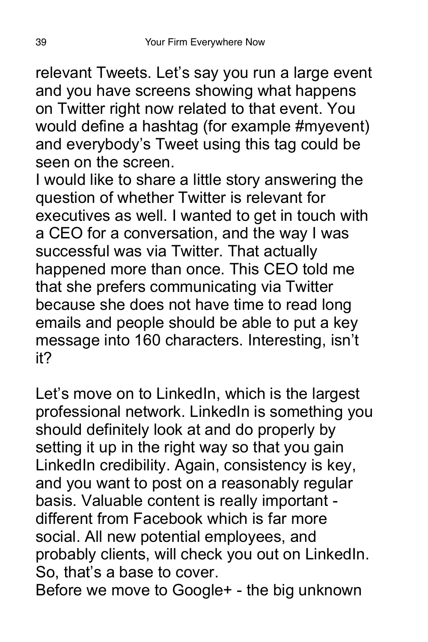relevant Tweets. Let's say you run a large event and you have screens showing what happens on Twitter right now related to that event. You would define a hashtag (for example #myevent) and everybody's Tweet using this tag could be seen on the screen.

I would like to share a little story answering the question of whether Twitter is relevant for executives as well. I wanted to get in touch with a CEO for a conversation, and the way I was successful was via Twitter. That actually happened more than once. This CEO told me that she prefers communicating via Twitter because she does not have time to read long emails and people should be able to put a key message into 160 characters. Interesting, isn't it?

Let's move on to LinkedIn, which is the largest professional network. LinkedIn is something you should definitely look at and do properly by setting it up in the right way so that you gain LinkedIn credibility. Again, consistency is key, and you want to post on a reasonably regular basis. Valuable content is really important different from Facebook which is far more social. All new potential employees, and probably clients, will check you out on LinkedIn. So, that's a base to cover. Before we move to Google+ - the big unknown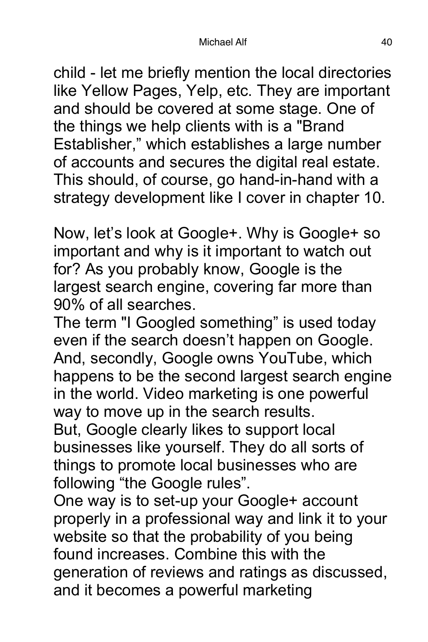child - let me briefly mention the local directories like Yellow Pages, Yelp, etc. They are important and should be covered at some stage. One of the things we help clients with is a "Brand Establisher," which establishes a large number of accounts and secures the digital real estate. This should, of course, go hand-in-hand with a strategy development like I cover in chapter 10.

Now, let's look at Google+. Why is Google+ so important and why is it important to watch out for? As you probably know, Google is the largest search engine, covering far more than 90% of all searches.

The term "I Googled something" is used today even if the search doesn't happen on Google. And, secondly, Google owns YouTube, which happens to be the second largest search engine in the world. Video marketing is one powerful way to move up in the search results. But, Google clearly likes to support local businesses like yourself. They do all sorts of things to promote local businesses who are following "the Google rules".

One way is to set-up your Google+ account properly in a professional way and link it to your website so that the probability of you being found increases. Combine this with the generation of reviews and ratings as discussed, and it becomes a powerful marketing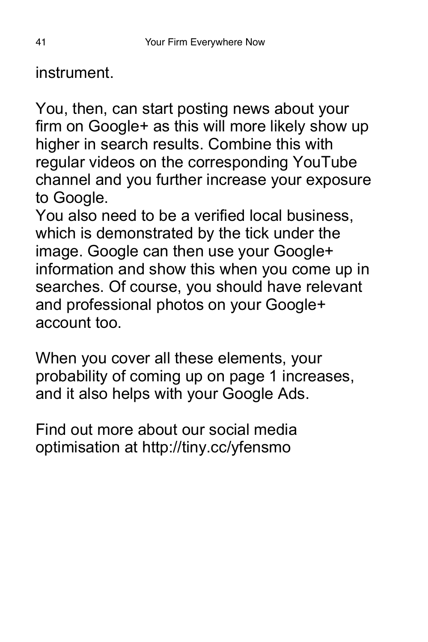#### instrument.

You, then, can start posting news about your firm on Google+ as this will more likely show up higher in search results. Combine this with regular videos on the corresponding YouTube channel and you further increase your exposure to Google.

You also need to be a verified local business, which is demonstrated by the tick under the image. Google can then use your Google+ information and show this when you come up in searches. Of course, you should have relevant and professional photos on your Google+ account too.

When you cover all these elements, your probability of coming up on page 1 increases, and it also helps with your Google Ads.

Find out more about our social media optimisation at <http://tiny.cc/yfensmo>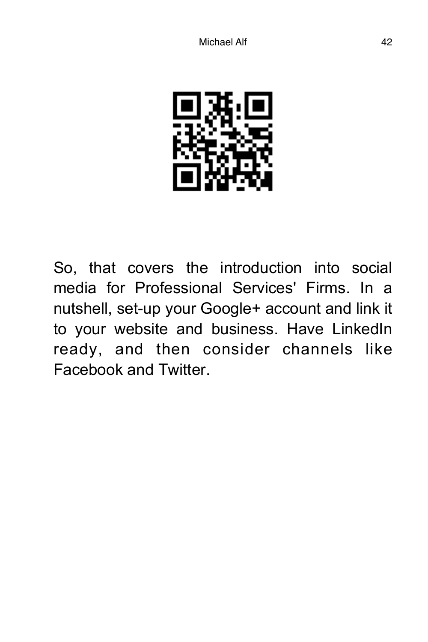

So, that covers the introduction into social media for Professional Services' Firms. In a nutshell, set-up your Google+ account and link it to your website and business. Have LinkedIn ready, and then consider channels like Facebook and Twitter.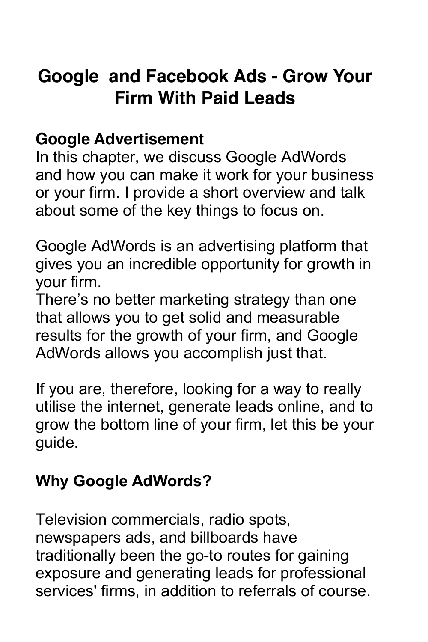# **Google and Facebook Ads - Grow Your Firm With Paid Leads**

### **Google Advertisement**

In this chapter, we discuss Google AdWords and how you can make it work for your business or your firm. I provide a short overview and talk about some of the key things to focus on.

Google AdWords is an advertising platform that gives you an incredible opportunity for growth in your firm.

There's no better marketing strategy than one that allows you to get solid and measurable results for the growth of your firm, and Google AdWords allows you accomplish just that.

If you are, therefore, looking for a way to really utilise the internet, generate leads online, and to grow the bottom line of your firm, let this be your guide.

## **Why Google AdWords?**

Television commercials, radio spots, newspapers ads, and billboards have traditionally been the go-to routes for gaining exposure and generating leads for professional services' firms, in addition to referrals of course.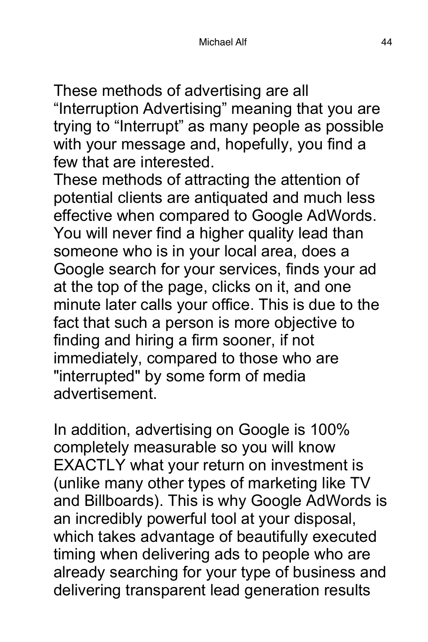These methods of advertising are all "Interruption Advertising" meaning that you are trying to "Interrupt" as many people as possible with your message and, hopefully, you find a few that are interested.

These methods of attracting the attention of potential clients are antiquated and much less effective when compared to Google AdWords. You will never find a higher quality lead than someone who is in your local area, does a Google search for your services, finds your ad at the top of the page, clicks on it, and one minute later calls your office. This is due to the fact that such a person is more objective to finding and hiring a firm sooner, if not immediately, compared to those who are "interrupted" by some form of media advertisement.

In addition, advertising on Google is 100% completely measurable so you will know EXACTLY what your return on investment is (unlike many other types of marketing like TV and Billboards). This is why Google AdWords is an incredibly powerful tool at your disposal, which takes advantage of beautifully executed timing when delivering ads to people who are already searching for your type of business and delivering transparent lead generation results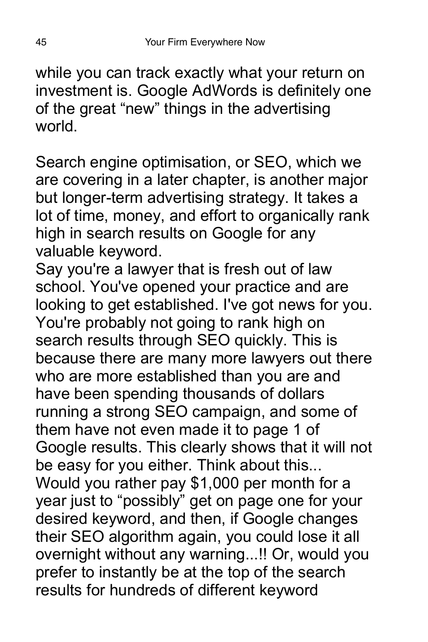while you can track exactly what your return on investment is. Google AdWords is definitely one of the great "new" things in the advertising world.

Search engine optimisation, or SEO, which we are covering in a later chapter, is another major but longer-term advertising strategy. It takes a lot of time, money, and effort to organically rank high in search results on Google for any valuable keyword.

Say you're a lawyer that is fresh out of law school. You've opened your practice and are looking to get established. I've got news for you. You're probably not going to rank high on search results through SEO quickly. This is because there are many more lawyers out there who are more established than you are and have been spending thousands of dollars running a strong SEO campaign, and some of them have not even made it to page 1 of Google results. This clearly shows that it will not be easy for you either. Think about this... Would you rather pay \$1,000 per month for a year just to "possibly" get on page one for your desired keyword, and then, if Google changes their SEO algorithm again, you could lose it all overnight without any warning...!! Or, would you prefer to instantly be at the top of the search results for hundreds of different keyword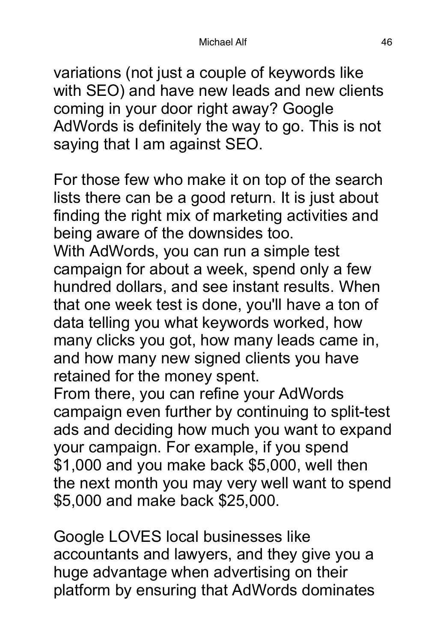variations (not just a couple of keywords like with SEO) and have new leads and new clients coming in your door right away? Google AdWords is definitely the way to go. This is not saying that I am against SEO.

For those few who make it on top of the search lists there can be a good return. It is just about finding the right mix of marketing activities and being aware of the downsides too.

With AdWords, you can run a simple test campaign for about a week, spend only a few hundred dollars, and see instant results. When that one week test is done, you'll have a ton of data telling you what keywords worked, how many clicks you got, how many leads came in, and how many new signed clients you have retained for the money spent.

From there, you can refine your AdWords campaign even further by continuing to split-test ads and deciding how much you want to expand your campaign. For example, if you spend \$1,000 and you make back \$5,000, well then the next month you may very well want to spend \$5,000 and make back \$25,000.

Google LOVES local businesses like accountants and lawyers, and they give you a huge advantage when advertising on their platform by ensuring that AdWords dominates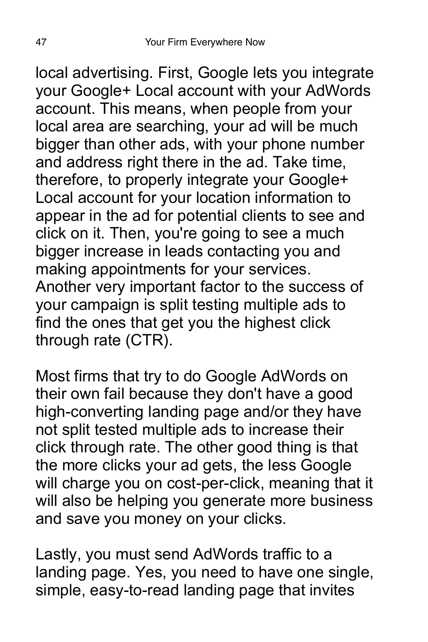local advertising. First, Google lets you integrate your Google+ Local account with your AdWords account. This means, when people from your local area are searching, your ad will be much bigger than other ads, with your phone number and address right there in the ad. Take time, therefore, to properly integrate your Google+ Local account for your location information to appear in the ad for potential clients to see and click on it. Then, you're going to see a much bigger increase in leads contacting you and making appointments for your services. Another very important factor to the success of your campaign is split testing multiple ads to find the ones that get you the highest click through rate (CTR).

Most firms that try to do Google AdWords on their own fail because they don't have a good high-converting landing page and/or they have not split tested multiple ads to increase their click through rate. The other good thing is that the more clicks your ad gets, the less Google will charge you on cost-per-click, meaning that it will also be helping you generate more business and save you money on your clicks.

Lastly, you must send AdWords traffic to a landing page. Yes, you need to have one single, simple, easy-to-read landing page that invites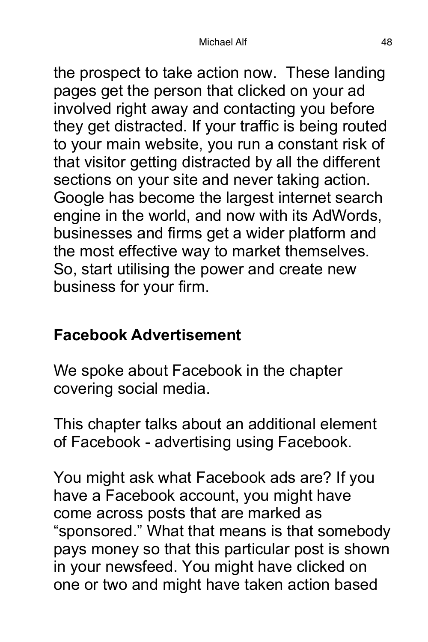the prospect to take action now. These landing pages get the person that clicked on your ad involved right away and contacting you before they get distracted. If your traffic is being routed to your main website, you run a constant risk of that visitor getting distracted by all the different sections on your site and never taking action. Google has become the largest internet search engine in the world, and now with its AdWords, businesses and firms get a wider platform and the most effective way to market themselves. So, start utilising the power and create new business for your firm.

#### **Facebook Advertisement**

We spoke about Facebook in the chapter covering social media.

This chapter talks about an additional element of Facebook - advertising using Facebook.

You might ask what Facebook ads are? If you have a Facebook account, you might have come across posts that are marked as "sponsored." What that means is that somebody pays money so that this particular post is shown in your newsfeed. You might have clicked on one or two and might have taken action based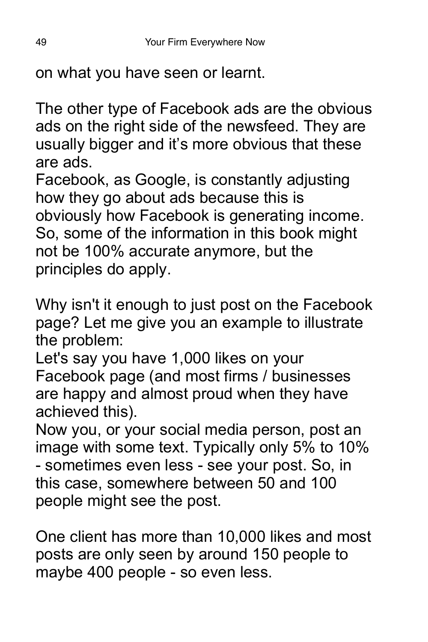on what you have seen or learnt.

The other type of Facebook ads are the obvious ads on the right side of the newsfeed. They are usually bigger and it's more obvious that these are ads.

Facebook, as Google, is constantly adjusting how they go about ads because this is obviously how Facebook is generating income. So, some of the information in this book might not be 100% accurate anymore, but the principles do apply.

Why isn't it enough to just post on the Facebook page? Let me give you an example to illustrate the problem:

Let's say you have 1,000 likes on your Facebook page (and most firms / businesses are happy and almost proud when they have achieved this).

Now you, or your social media person, post an image with some text. Typically only 5% to 10% - sometimes even less - see your post. So, in this case, somewhere between 50 and 100 people might see the post.

One client has more than 10,000 likes and most posts are only seen by around 150 people to maybe 400 people - so even less.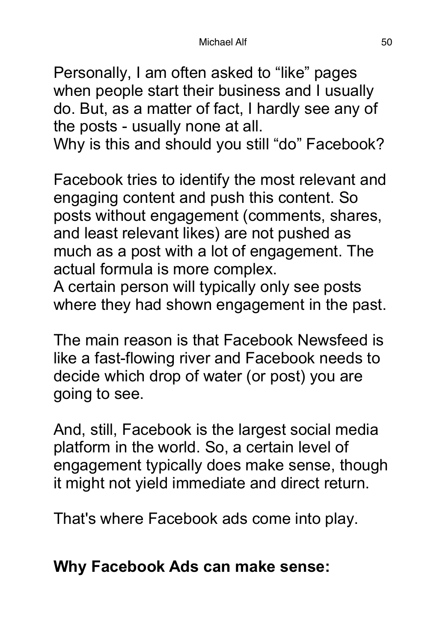Personally, I am often asked to "like" pages when people start their business and I usually do. But, as a matter of fact, I hardly see any of the posts - usually none at all.

Why is this and should you still "do" Facebook?

Facebook tries to identify the most relevant and engaging content and push this content. So posts without engagement (comments, shares, and least relevant likes) are not pushed as much as a post with a lot of engagement. The actual formula is more complex.

A certain person will typically only see posts where they had shown engagement in the past.

The main reason is that Facebook Newsfeed is like a fast-flowing river and Facebook needs to decide which drop of water (or post) you are going to see.

And, still, Facebook is the largest social media platform in the world. So, a certain level of engagement typically does make sense, though it might not yield immediate and direct return.

That's where Facebook ads come into play.

#### **Why Facebook Ads can make sense:**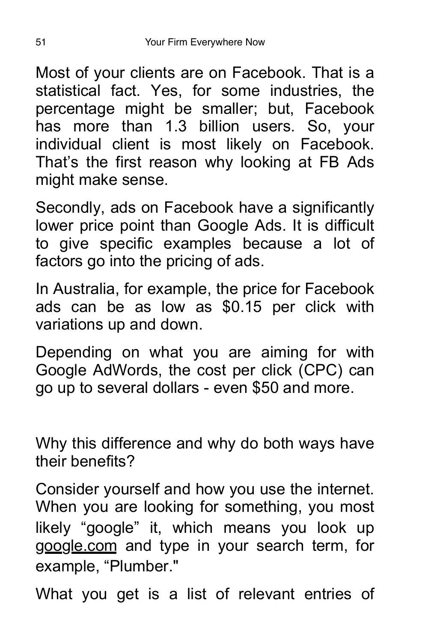Most of your clients are on Facebook. That is a statistical fact. Yes, for some industries, the percentage might be smaller; but, Facebook has more than 1.3 billion users. So, your individual client is most likely on Facebook. That's the first reason why looking at FB Ads might make sense.

Secondly, ads on Facebook have a significantly lower price point than Google Ads. It is difficult to give specific examples because a lot of factors go into the pricing of ads.

In Australia, for example, the price for Facebook ads can be as low as \$0.15 per click with variations up and down.

Depending on what you are aiming for with Google AdWords, the cost per click (CPC) can go up to several dollars - even \$50 and more.

Why this difference and why do both ways have their benefits?

Consider yourself and how you use the internet. When you are looking for something, you most likely "google" it, which means you look up [google.com](http://google.com) and type in your search term, for example, "Plumber."

What you get is a list of relevant entries of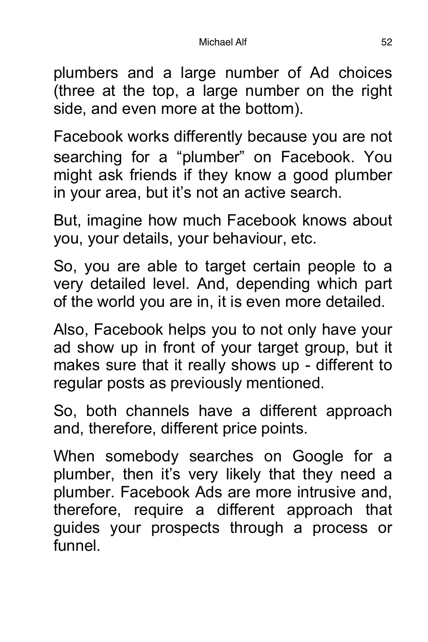plumbers and a large number of Ad choices (three at the top, a large number on the right side, and even more at the bottom).

Facebook works differently because you are not searching for a "plumber" on Facebook. You might ask friends if they know a good plumber in your area, but it's not an active search.

But, imagine how much Facebook knows about you, your details, your behaviour, etc.

So, you are able to target certain people to a very detailed level. And, depending which part of the world you are in, it is even more detailed.

Also, Facebook helps you to not only have your ad show up in front of your target group, but it makes sure that it really shows up - different to regular posts as previously mentioned.

So, both channels have a different approach and, therefore, different price points.

When somebody searches on Google for a plumber, then it's very likely that they need a plumber. Facebook Ads are more intrusive and, therefore, require a different approach that guides your prospects through a process or funnel.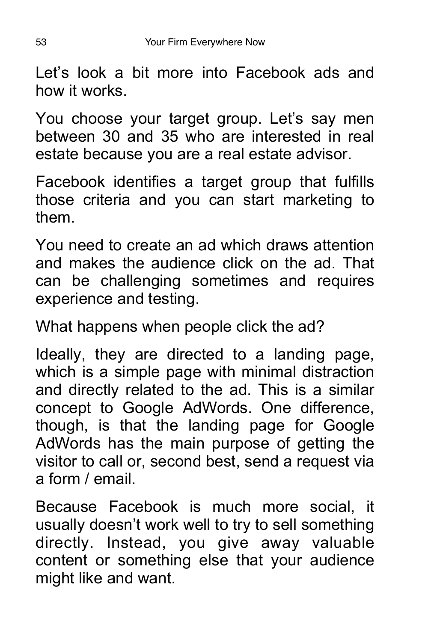Let's look a bit more into Facebook ads and how it works.

You choose your target group. Let's say men between 30 and 35 who are interested in real estate because you are a real estate advisor.

Facebook identifies a target group that fulfills those criteria and you can start marketing to them.

You need to create an ad which draws attention and makes the audience click on the ad. That can be challenging sometimes and requires experience and testing.

What happens when people click the ad?

Ideally, they are directed to a landing page, which is a simple page with minimal distraction and directly related to the ad. This is a similar concept to Google AdWords. One difference, though, is that the landing page for Google AdWords has the main purpose of getting the visitor to call or, second best, send a request via a form / email.

Because Facebook is much more social, it usually doesn't work well to try to sell something directly. Instead, you give away valuable content or something else that your audience might like and want.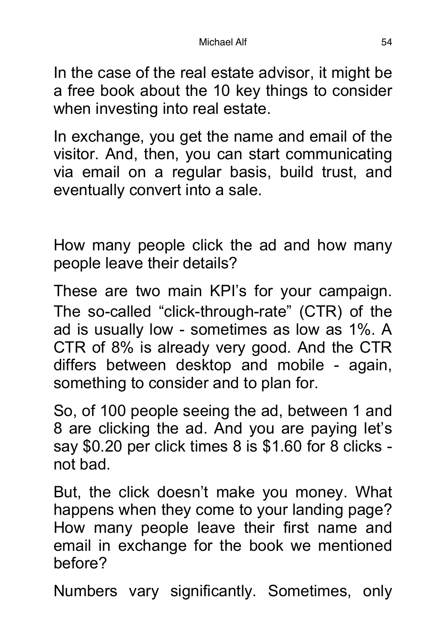In the case of the real estate advisor, it might be a free book about the 10 key things to consider when investing into real estate.

In exchange, you get the name and email of the visitor. And, then, you can start communicating via email on a regular basis, build trust, and eventually convert into a sale.

How many people click the ad and how many people leave their details?

These are two main KPI's for your campaign. The so-called "click-through-rate" (CTR) of the ad is usually low - sometimes as low as 1%. A CTR of 8% is already very good. And the CTR differs between desktop and mobile - again, something to consider and to plan for.

So, of 100 people seeing the ad, between 1 and 8 are clicking the ad. And you are paying let's say \$0.20 per click times 8 is \$1.60 for 8 clicks not bad.

But, the click doesn't make you money. What happens when they come to your landing page? How many people leave their first name and email in exchange for the book we mentioned before?

Numbers vary significantly. Sometimes, only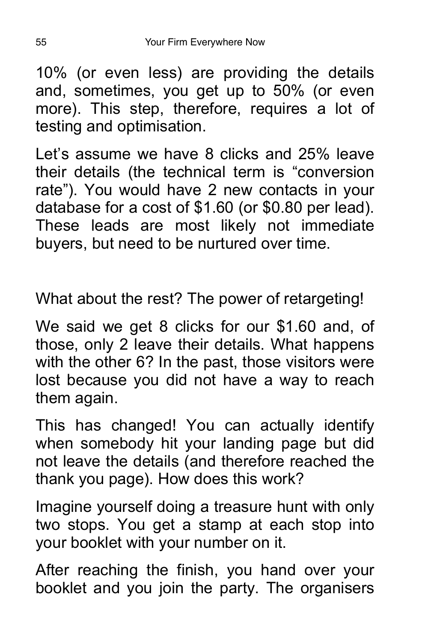10% (or even less) are providing the details and, sometimes, you get up to 50% (or even more). This step, therefore, requires a lot of testing and optimisation.

Let's assume we have 8 clicks and 25% leave their details (the technical term is "conversion rate"). You would have 2 new contacts in your database for a cost of \$1.60 (or \$0.80 per lead). These leads are most likely not immediate buyers, but need to be nurtured over time.

What about the rest? The power of retargeting!

We said we get 8 clicks for our \$1.60 and, of those, only 2 leave their details. What happens with the other 6? In the past, those visitors were lost because you did not have a way to reach them again.

This has changed! You can actually identify when somebody hit your landing page but did not leave the details (and therefore reached the thank you page). How does this work?

Imagine yourself doing a treasure hunt with only two stops. You get a stamp at each stop into your booklet with your number on it.

After reaching the finish, you hand over your booklet and you join the party. The organisers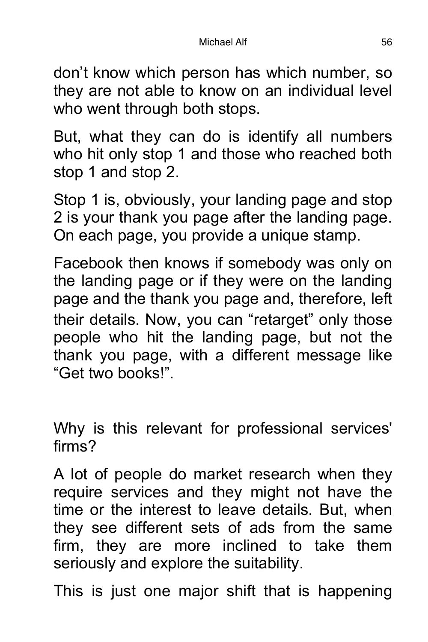don't know which person has which number, so they are not able to know on an individual level who went through both stops.

But, what they can do is identify all numbers who hit only stop 1 and those who reached both stop 1 and stop 2.

Stop 1 is, obviously, your landing page and stop 2 is your thank you page after the landing page. On each page, you provide a unique stamp.

Facebook then knows if somebody was only on the landing page or if they were on the landing page and the thank you page and, therefore, left their details. Now, you can "retarget" only those people who hit the landing page, but not the thank you page, with a different message like "Get two books!".

Why is this relevant for professional services' firms?

A lot of people do market research when they require services and they might not have the time or the interest to leave details. But, when they see different sets of ads from the same firm, they are more inclined to take them seriously and explore the suitability.

This is just one major shift that is happening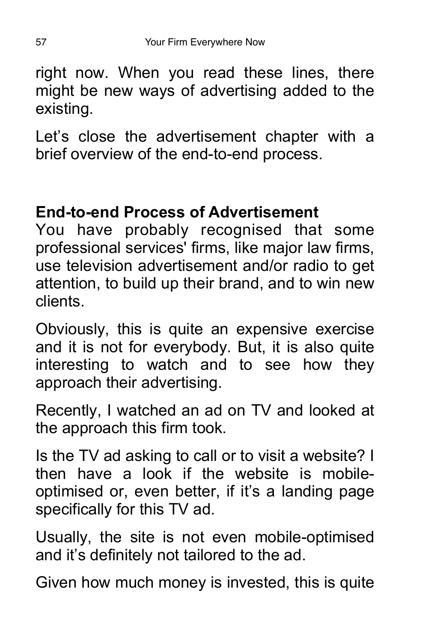right now. When you read these lines, there might be new ways of advertising added to the existing.

Let's close the advertisement chapter with a brief overview of the end-to-end process.

#### **End-to-end Process of Advertisement**

You have probably recognised that some professional services' firms, like major law firms, use television advertisement and/or radio to get attention, to build up their brand, and to win new clients.

Obviously, this is quite an expensive exercise and it is not for everybody. But, it is also quite interesting to watch and to see how they approach their advertising.

Recently, I watched an ad on TV and looked at the approach this firm took.

Is the TV ad asking to call or to visit a website? I then have a look if the website is mobileoptimised or, even better, if it's a landing page specifically for this TV ad.

Usually, the site is not even mobile-optimised and it's definitely not tailored to the ad.

Given how much money is invested, this is quite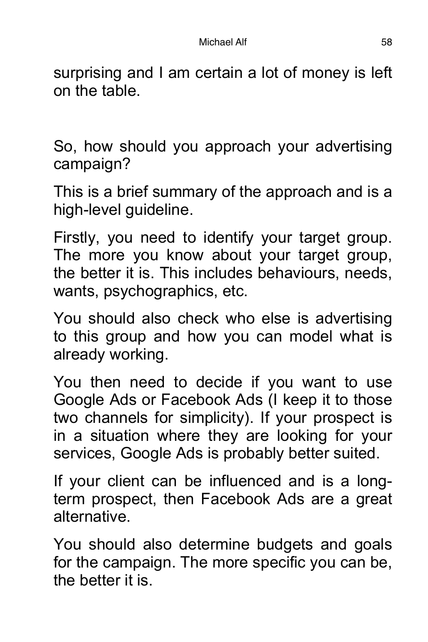surprising and I am certain a lot of money is left on the table.

So, how should you approach your advertising campaign?

This is a brief summary of the approach and is a high-level guideline.

Firstly, you need to identify your target group. The more you know about your target group, the better it is. This includes behaviours, needs, wants, psychographics, etc.

You should also check who else is advertising to this group and how you can model what is already working.

You then need to decide if you want to use Google Ads or Facebook Ads (I keep it to those two channels for simplicity). If your prospect is in a situation where they are looking for your services, Google Ads is probably better suited.

If your client can be influenced and is a longterm prospect, then Facebook Ads are a great alternative.

You should also determine budgets and goals for the campaign. The more specific you can be, the better it is.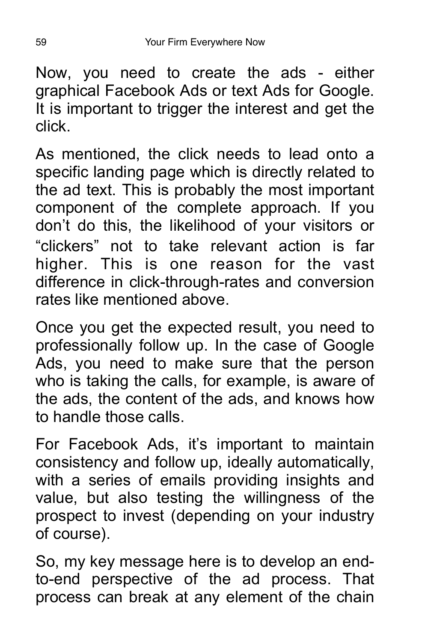Now, you need to create the ads - either graphical Facebook Ads or text Ads for Google. It is important to trigger the interest and get the click.

As mentioned, the click needs to lead onto a specific landing page which is directly related to the ad text. This is probably the most important component of the complete approach. If you don't do this, the likelihood of your visitors or "clickers" not to take relevant action is far higher. This is one reason for the vast difference in click-through-rates and conversion rates like mentioned above.

Once you get the expected result, you need to professionally follow up. In the case of Google Ads, you need to make sure that the person who is taking the calls, for example, is aware of the ads, the content of the ads, and knows how to handle those calls.

For Facebook Ads, it's important to maintain consistency and follow up, ideally automatically, with a series of emails providing insights and value, but also testing the willingness of the prospect to invest (depending on your industry of course).

So, my key message here is to develop an endto-end perspective of the ad process. That process can break at any element of the chain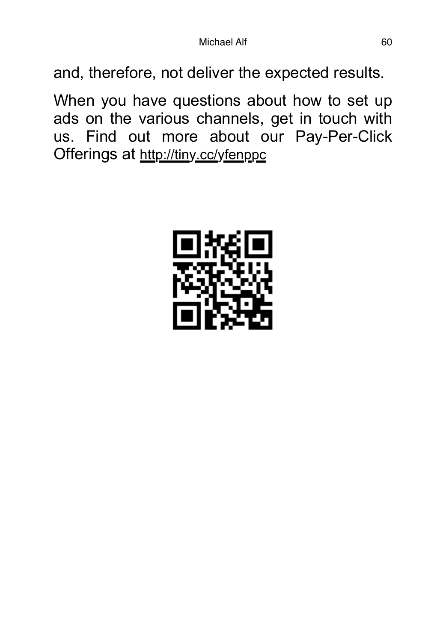and, therefore, not deliver the expected results.

When you have questions about how to set up ads on the various channels, get in touch with us. Find out more about our Pay-Per-Click Offerings at<http://tiny.cc/yfenppc>

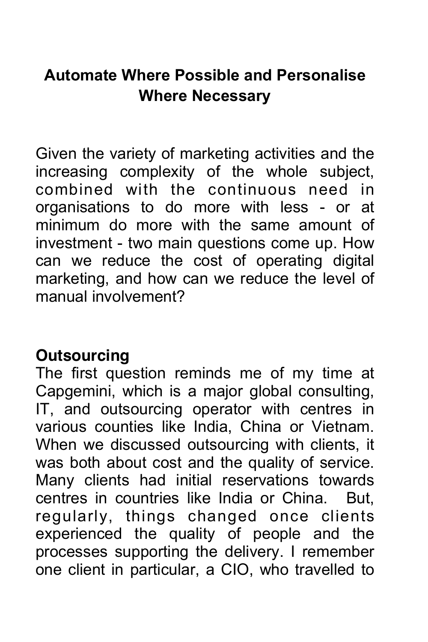## **Automate Where Possible and Personalise Where Necessary**

Given the variety of marketing activities and the increasing complexity of the whole subject, combined with the continuous need in organisations to do more with less - or at minimum do more with the same amount of investment - two main questions come up. How can we reduce the cost of operating digital marketing, and how can we reduce the level of manual involvement?

#### **Outsourcing**

The first question reminds me of my time at Capgemini, which is a major global consulting, IT, and outsourcing operator with centres in various counties like India, China or Vietnam. When we discussed outsourcing with clients, it was both about cost and the quality of service. Many clients had initial reservations towards centres in countries like India or China. But, regularly, things changed once clients experienced the quality of people and the processes supporting the delivery. I remember one client in particular, a CIO, who travelled to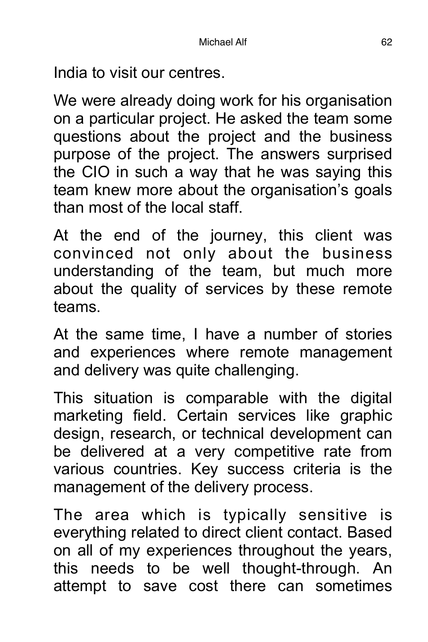India to visit our centres.

We were already doing work for his organisation on a particular project. He asked the team some questions about the project and the business purpose of the project. The answers surprised the CIO in such a way that he was saying this team knew more about the organisation's goals than most of the local staff.

At the end of the journey, this client was convinced not only about the business understanding of the team, but much more about the quality of services by these remote teams.

At the same time, I have a number of stories and experiences where remote management and delivery was quite challenging.

This situation is comparable with the digital marketing field. Certain services like graphic design, research, or technical development can be delivered at a very competitive rate from various countries. Key success criteria is the management of the delivery process.

The area which is typically sensitive is everything related to direct client contact. Based on all of my experiences throughout the years, this needs to be well thought-through. An attempt to save cost there can sometimes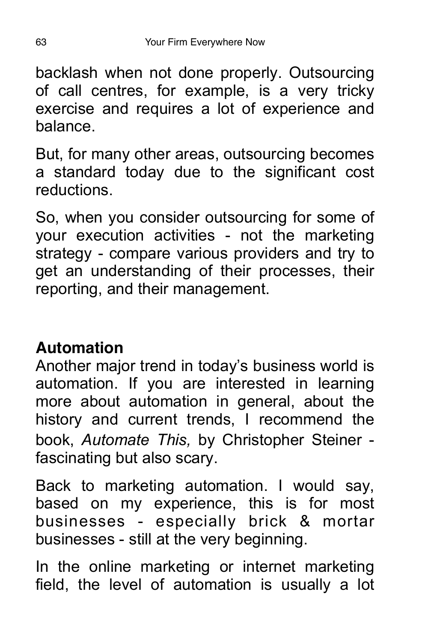backlash when not done properly. Outsourcing of call centres, for example, is a very tricky exercise and requires a lot of experience and balance.

But, for many other areas, outsourcing becomes a standard today due to the significant cost reductions.

So, when you consider outsourcing for some of your execution activities - not the marketing strategy - compare various providers and try to get an understanding of their processes, their reporting, and their management.

#### **Automation**

Another major trend in today's business world is automation. If you are interested in learning more about automation in general, about the history and current trends, I recommend the book, *Automate This,* by Christopher Steiner fascinating but also scary.

Back to marketing automation. I would say, based on my experience, this is for most businesses - especially brick & mortar businesses - still at the very beginning.

In the online marketing or internet marketing field, the level of automation is usually a lot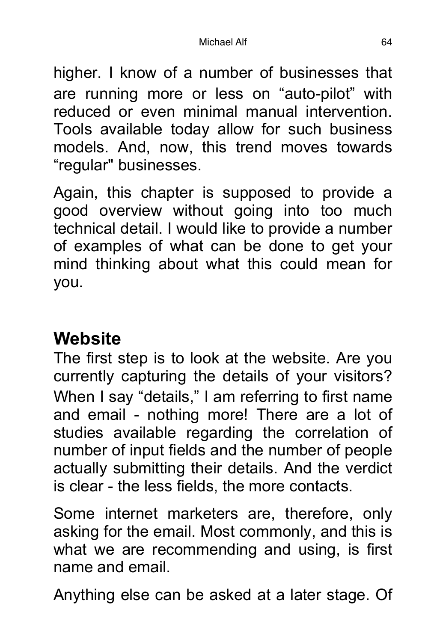#### Michael Alf 64

higher. I know of a number of businesses that are running more or less on "auto-pilot" with reduced or even minimal manual intervention. Tools available today allow for such business models. And, now, this trend moves towards "regular" businesses.

Again, this chapter is supposed to provide a good overview without going into too much technical detail. I would like to provide a number of examples of what can be done to get your mind thinking about what this could mean for you.

## **Website**

The first step is to look at the website. Are you currently capturing the details of your visitors? When I say "details," I am referring to first name and email - nothing more! There are a lot of studies available regarding the correlation of number of input fields and the number of people actually submitting their details. And the verdict is clear - the less fields, the more contacts.

Some internet marketers are, therefore, only asking for the email. Most commonly, and this is what we are recommending and using, is first name and email.

Anything else can be asked at a later stage. Of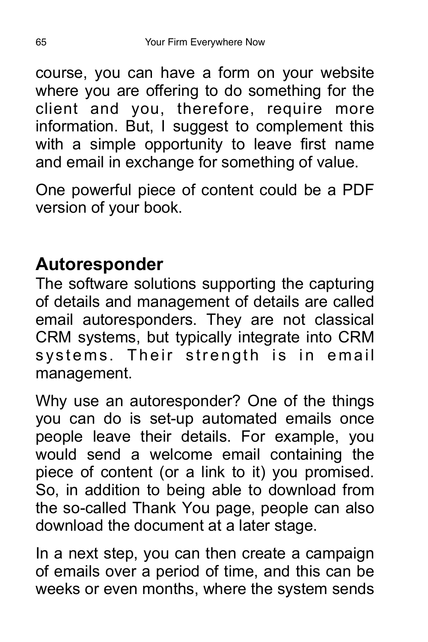course, you can have a form on your website where you are offering to do something for the client and you, therefore, require more information. But, I suggest to complement this with a simple opportunity to leave first name and email in exchange for something of value.

One powerful piece of content could be a PDF version of your book.

## **Autoresponder**

The software solutions supporting the capturing of details and management of details are called email autoresponders. They are not classical CRM systems, but typically integrate into CRM systems. Their strength is in email management.

Why use an autoresponder? One of the things you can do is set-up automated emails once people leave their details. For example, you would send a welcome email containing the piece of content (or a link to it) you promised. So, in addition to being able to download from the so-called Thank You page, people can also download the document at a later stage.

In a next step, you can then create a campaign of emails over a period of time, and this can be weeks or even months, where the system sends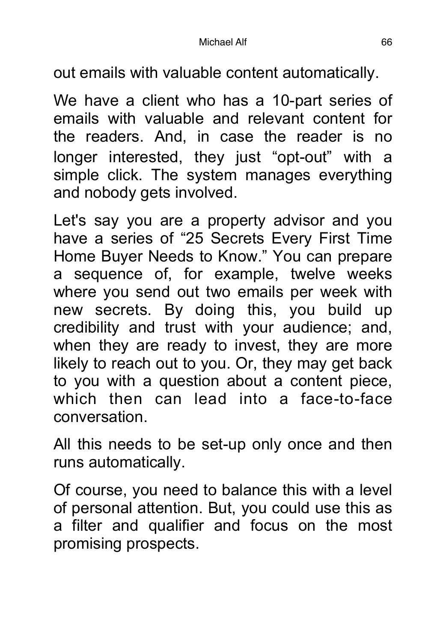#### Michael Alf 66

out emails with valuable content automatically.

We have a client who has a 10-part series of emails with valuable and relevant content for the readers. And, in case the reader is no longer interested, they just "opt-out" with a simple click. The system manages everything and nobody gets involved.

Let's say you are a property advisor and you have a series of "25 Secrets Every First Time Home Buyer Needs to Know." You can prepare a sequence of, for example, twelve weeks where you send out two emails per week with new secrets. By doing this, you build up credibility and trust with your audience; and, when they are ready to invest, they are more likely to reach out to you. Or, they may get back to you with a question about a content piece, which then can lead into a face-to-face conversation.

All this needs to be set-up only once and then runs automatically.

Of course, you need to balance this with a level of personal attention. But, you could use this as a filter and qualifier and focus on the most promising prospects.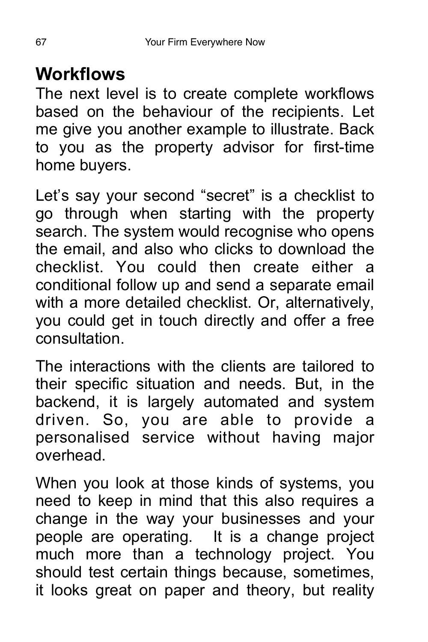## **Workflows**

The next level is to create complete workflows based on the behaviour of the recipients. Let me give you another example to illustrate. Back to you as the property advisor for first-time home buyers.

Let's say your second "secret" is a checklist to go through when starting with the property search. The system would recognise who opens the email, and also who clicks to download the checklist. You could then create either a conditional follow up and send a separate email with a more detailed checklist. Or, alternatively, you could get in touch directly and offer a free **consultation** 

The interactions with the clients are tailored to their specific situation and needs. But, in the backend, it is largely automated and system driven. So, you are able to provide a personalised service without having major overhead.

When you look at those kinds of systems, you need to keep in mind that this also requires a change in the way your businesses and your people are operating. It is a change project much more than a technology project. You should test certain things because, sometimes, it looks great on paper and theory, but reality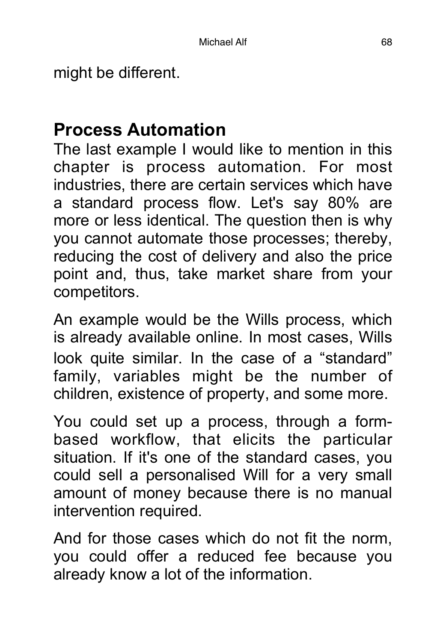might be different.

## **Process Automation**

The last example I would like to mention in this chapter is process automation. For most industries, there are certain services which have a standard process flow. Let's say 80% are more or less identical. The question then is why you cannot automate those processes; thereby, reducing the cost of delivery and also the price point and, thus, take market share from your competitors.

An example would be the Wills process, which is already available online. In most cases, Wills look quite similar. In the case of a "standard" family, variables might be the number of children, existence of property, and some more.

You could set up a process, through a formbased workflow, that elicits the particular situation. If it's one of the standard cases, you could sell a personalised Will for a very small amount of money because there is no manual intervention required.

And for those cases which do not fit the norm, you could offer a reduced fee because you already know a lot of the information.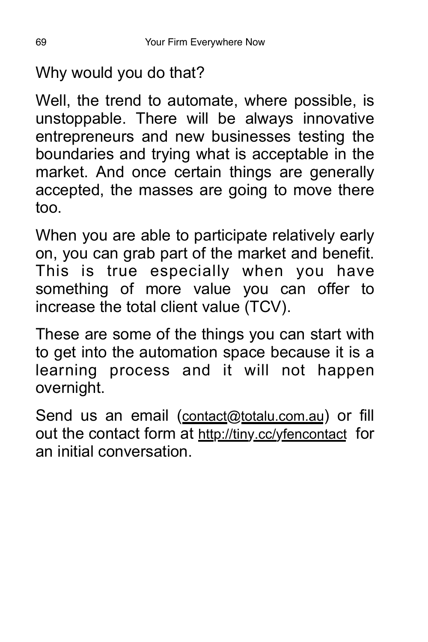## Why would you do that?

Well, the trend to automate, where possible, is unstoppable. There will be always innovative entrepreneurs and new businesses testing the boundaries and trying what is acceptable in the market. And once certain things are generally accepted, the masses are going to move there too.

When you are able to participate relatively early on, you can grab part of the market and benefit. This is true especially when you have something of more value you can offer to increase the total client value (TCV).

These are some of the things you can start with to get into the automation space because it is a learning process and it will not happen overnight.

Send us an email ([contact@totalu.com.au](mailto:contact@totalu.com.au)) or fill out the contact form at <http://tiny.cc/yfencontact> for an initial conversation.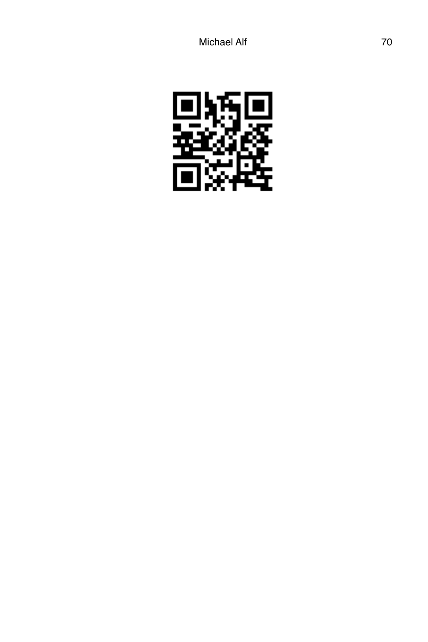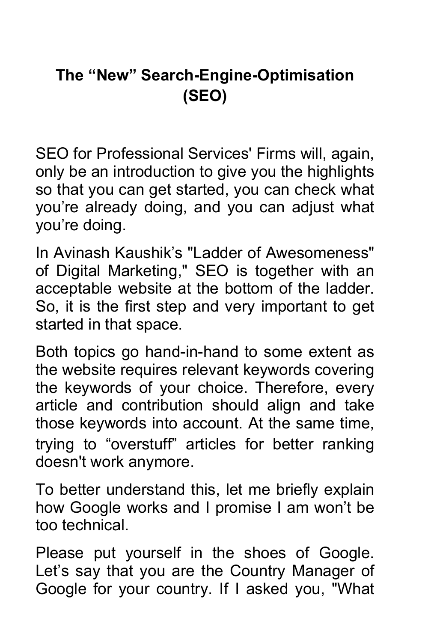# **The "New" Search-Engine-Optimisation (SEO)**

SEO for Professional Services' Firms will, again, only be an introduction to give you the highlights so that you can get started, you can check what you're already doing, and you can adjust what you're doing.

In Avinash Kaushik's "Ladder of Awesomeness" of Digital Marketing," SEO is together with an acceptable website at the bottom of the ladder. So, it is the first step and very important to get started in that space.

Both topics go hand-in-hand to some extent as the website requires relevant keywords covering the keywords of your choice. Therefore, every article and contribution should align and take those keywords into account. At the same time, trying to "overstuff" articles for better ranking doesn't work anymore.

To better understand this, let me briefly explain how Google works and I promise I am won't be too technical.

Please put yourself in the shoes of Google. Let's say that you are the Country Manager of Google for your country. If I asked you, "What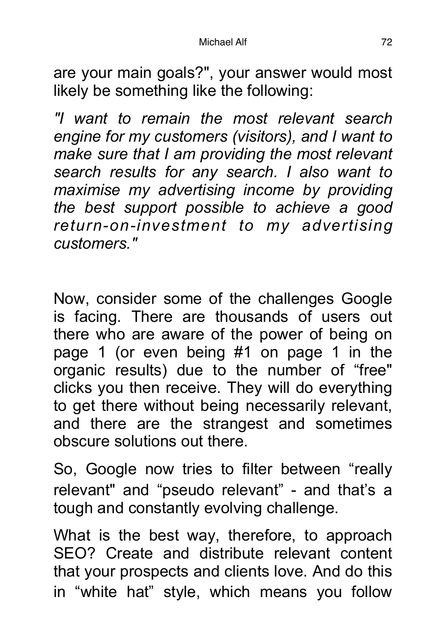are your main goals?", your answer would most likely be something like the following:

*"I want to remain the most relevant search engine for my customers (visitors), and I want to make sure that I am providing the most relevant search results for any search. I also want to maximise my advertising income by providing the best support possible to achieve a good return-on-investment to my advertising customers."* 

Now, consider some of the challenges Google is facing. There are thousands of users out there who are aware of the power of being on page 1 (or even being #1 on page 1 in the organic results) due to the number of "free" clicks you then receive. They will do everything to get there without being necessarily relevant, and there are the strangest and sometimes obscure solutions out there.

So, Google now tries to filter between "really relevant" and "pseudo relevant" - and that's a tough and constantly evolving challenge.

What is the best way, therefore, to approach SEO? Create and distribute relevant content that your prospects and clients love. And do this in "white hat" style, which means you follow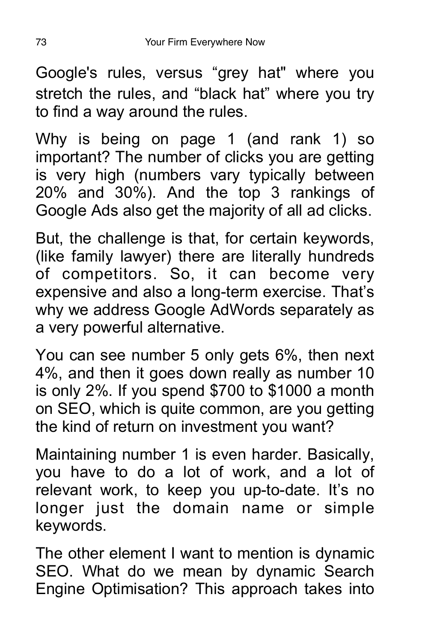Google's rules, versus "grey hat" where you stretch the rules, and "black hat" where you try to find a way around the rules.

Why is being on page 1 (and rank 1) so important? The number of clicks you are getting is very high (numbers vary typically between 20% and 30%). And the top 3 rankings of Google Ads also get the majority of all ad clicks.

But, the challenge is that, for certain keywords, (like family lawyer) there are literally hundreds of competitors. So, it can become very expensive and also a long-term exercise. That's why we address Google AdWords separately as a very powerful alternative.

You can see number 5 only gets 6%, then next 4%, and then it goes down really as number 10 is only 2%. If you spend \$700 to \$1000 a month on SEO, which is quite common, are you getting the kind of return on investment you want?

Maintaining number 1 is even harder. Basically, you have to do a lot of work, and a lot of relevant work, to keep you up-to-date. It's no longer just the domain name or simple keywords.

The other element I want to mention is dynamic SEO. What do we mean by dynamic Search Engine Optimisation? This approach takes into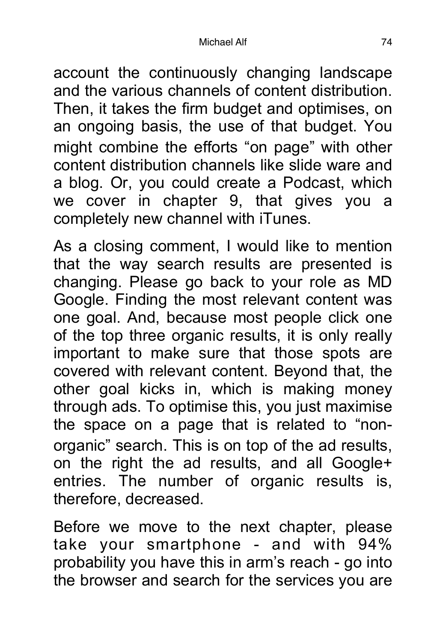account the continuously changing landscape and the various channels of content distribution. Then, it takes the firm budget and optimises, on an ongoing basis, the use of that budget. You might combine the efforts "on page" with other content distribution channels like slide ware and a blog. Or, you could create a Podcast, which we cover in chapter 9, that gives you a completely new channel with iTunes.

As a closing comment, I would like to mention that the way search results are presented is changing. Please go back to your role as MD Google. Finding the most relevant content was one goal. And, because most people click one of the top three organic results, it is only really important to make sure that those spots are covered with relevant content. Beyond that, the other goal kicks in, which is making money through ads. To optimise this, you just maximise the space on a page that is related to "nonorganic" search. This is on top of the ad results, on the right the ad results, and all Google+ entries. The number of organic results is, therefore, decreased.

Before we move to the next chapter, please take your smartphone - and with 94% probability you have this in arm's reach - go into the browser and search for the services you are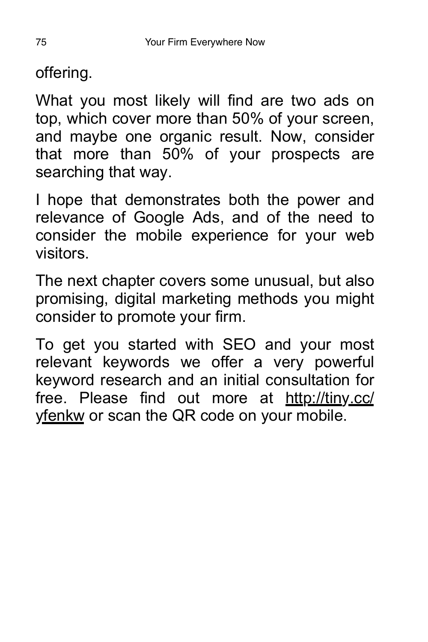offering.

What you most likely will find are two ads on top, which cover more than 50% of your screen, and maybe one organic result. Now, consider that more than 50% of your prospects are searching that way.

I hope that demonstrates both the power and relevance of Google Ads, and of the need to consider the mobile experience for your web visitors.

The next chapter covers some unusual, but also promising, digital marketing methods you might consider to promote your firm.

To get you started with SEO and your most relevant keywords we offer a very powerful keyword research and an initial consultation for free. Please find out more at [http://tiny.cc/](http://tiny.cc/yfenkw) [yfenkw](http://tiny.cc/yfenkw) or scan the QR code on your mobile.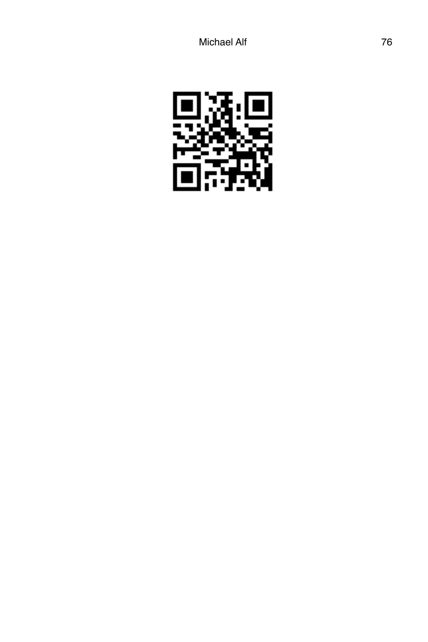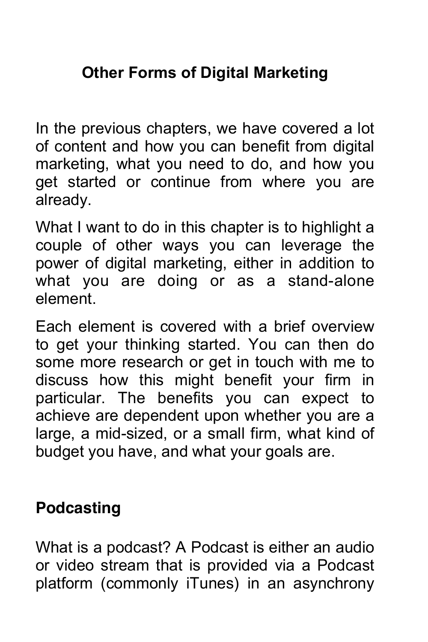In the previous chapters, we have covered a lot of content and how you can benefit from digital marketing, what you need to do, and how you get started or continue from where you are already.

What I want to do in this chapter is to highlight a couple of other ways you can leverage the power of digital marketing, either in addition to what you are doing or as a stand-alone element.

Each element is covered with a brief overview to get your thinking started. You can then do some more research or get in touch with me to discuss how this might benefit your firm in particular. The benefits you can expect to achieve are dependent upon whether you are a large, a mid-sized, or a small firm, what kind of budget you have, and what your goals are.

# **Podcasting**

What is a podcast? A Podcast is either an audio or video stream that is provided via a Podcast platform (commonly iTunes) in an asynchrony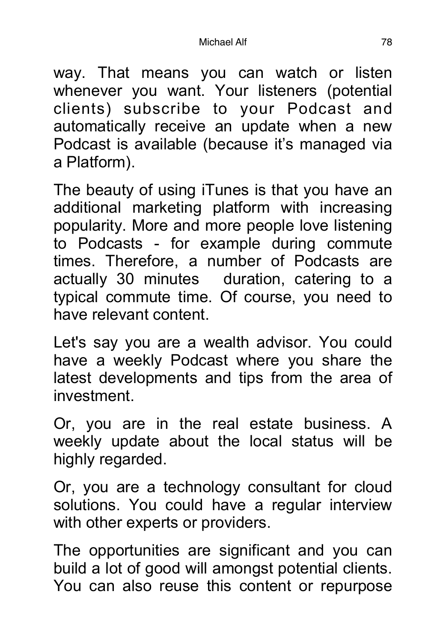way. That means you can watch or listen whenever you want. Your listeners (potential clients) subscribe to your Podcast and automatically receive an update when a new Podcast is available (because it's managed via a Platform).

The beauty of using iTunes is that you have an additional marketing platform with increasing popularity. More and more people love listening to Podcasts - for example during commute times. Therefore, a number of Podcasts are actually 30 minutes duration, catering to a typical commute time. Of course, you need to have relevant content.

Let's say you are a wealth advisor. You could have a weekly Podcast where you share the latest developments and tips from the area of investment.

Or, you are in the real estate business. A weekly update about the local status will be highly regarded.

Or, you are a technology consultant for cloud solutions. You could have a regular interview with other experts or providers.

The opportunities are significant and you can build a lot of good will amongst potential clients. You can also reuse this content or repurpose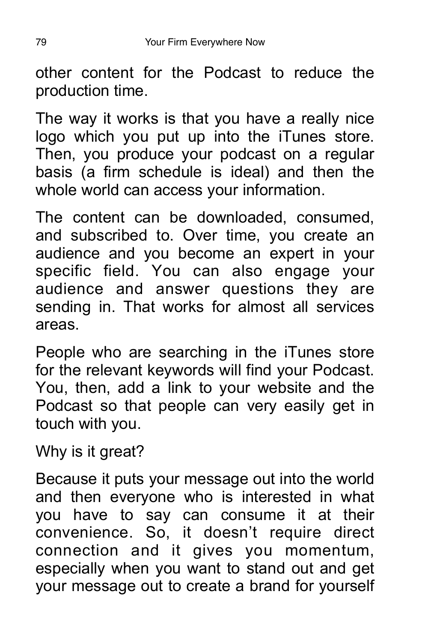other content for the Podcast to reduce the production time.

The way it works is that you have a really nice logo which you put up into the iTunes store. Then, you produce your podcast on a regular basis (a firm schedule is ideal) and then the whole world can access your information.

The content can be downloaded, consumed, and subscribed to. Over time, you create an audience and you become an expert in your specific field. You can also engage your audience and answer questions they are sending in. That works for almost all services areas.

People who are searching in the iTunes store for the relevant keywords will find your Podcast. You, then, add a link to your website and the Podcast so that people can very easily get in touch with you.

Why is it great?

Because it puts your message out into the world and then everyone who is interested in what you have to say can consume it at their convenience. So, it doesn't require direct connection and it gives you momentum, especially when you want to stand out and get your message out to create a brand for yourself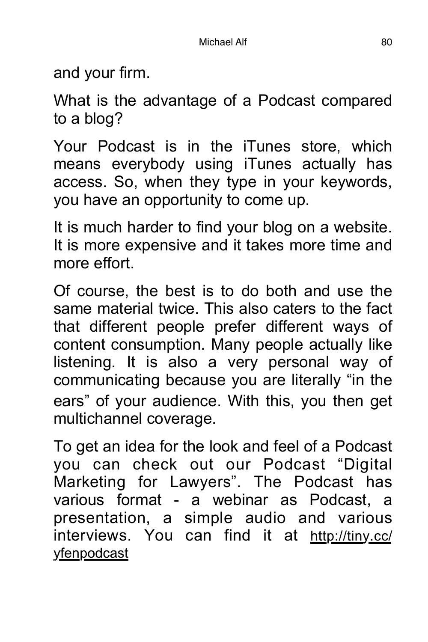and your firm.

What is the advantage of a Podcast compared to a blog?

Your Podcast is in the iTunes store, which means everybody using iTunes actually has access. So, when they type in your keywords, you have an opportunity to come up.

It is much harder to find your blog on a website. It is more expensive and it takes more time and more effort.

Of course, the best is to do both and use the same material twice. This also caters to the fact that different people prefer different ways of content consumption. Many people actually like listening. It is also a very personal way of communicating because you are literally "in the ears" of your audience. With this, you then get multichannel coverage.

To get an idea for the look and feel of a Podcast you can check out our Podcast "Digital Marketing for Lawyers". The Podcast has various format - a webinar as Podcast, a presentation, a simple audio and various interviews. You can find it at [http://tiny.cc/](http://tiny.cc/yfenpodcast) [yfenpodcast](http://tiny.cc/yfenpodcast)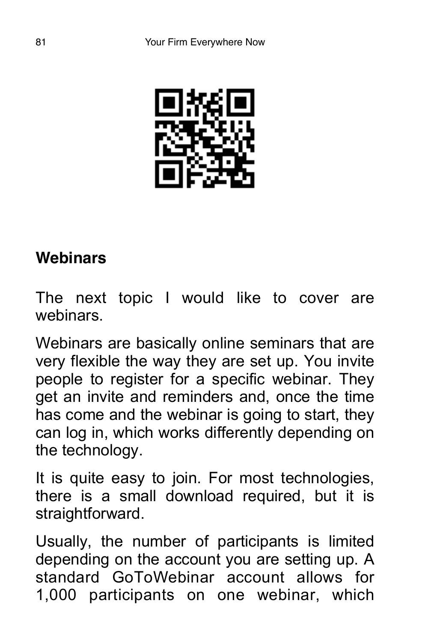

## **Webinars**

The next topic I would like to cover are webinars.

Webinars are basically online seminars that are very flexible the way they are set up. You invite people to register for a specific webinar. They get an invite and reminders and, once the time has come and the webinar is going to start, they can log in, which works differently depending on the technology.

It is quite easy to join. For most technologies, there is a small download required, but it is straightforward.

Usually, the number of participants is limited depending on the account you are setting up. A standard GoToWebinar account allows for 1,000 participants on one webinar, which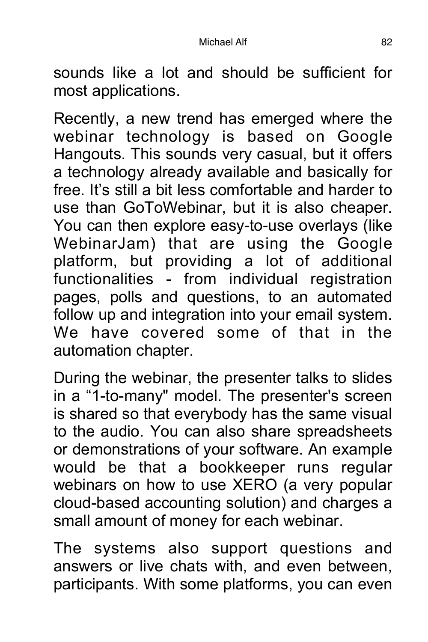sounds like a lot and should be sufficient for most applications.

Recently, a new trend has emerged where the webinar technology is based on Google Hangouts. This sounds very casual, but it offers a technology already available and basically for free. It's still a bit less comfortable and harder to use than GoToWebinar, but it is also cheaper. You can then explore easy-to-use overlays (like WebinarJam) that are using the Google platform, but providing a lot of additional functionalities - from individual registration pages, polls and questions, to an automated follow up and integration into your email system. We have covered some of that in the automation chapter.

During the webinar, the presenter talks to slides in a "1-to-many" model. The presenter's screen is shared so that everybody has the same visual to the audio. You can also share spreadsheets or demonstrations of your software. An example would be that a bookkeeper runs regular webinars on how to use XERO (a very popular cloud-based accounting solution) and charges a small amount of money for each webinar.

The systems also support questions and answers or live chats with, and even between, participants. With some platforms, you can even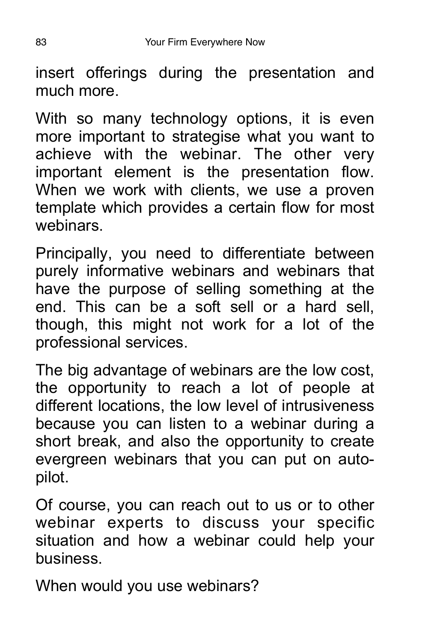insert offerings during the presentation and much more.

With so many technology options, it is even more important to strategise what you want to achieve with the webinar. The other very important element is the presentation flow. When we work with clients, we use a proven template which provides a certain flow for most webinars.

Principally, you need to differentiate between purely informative webinars and webinars that have the purpose of selling something at the end. This can be a soft sell or a hard sell, though, this might not work for a lot of the professional services.

The big advantage of webinars are the low cost, the opportunity to reach a lot of people at different locations, the low level of intrusiveness because you can listen to a webinar during a short break, and also the opportunity to create evergreen webinars that you can put on autopilot.

Of course, you can reach out to us or to other webinar experts to discuss your specific situation and how a webinar could help your business.

When would you use webinars?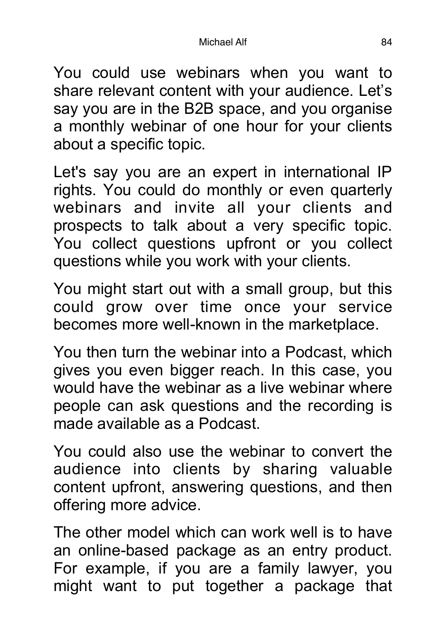You could use webinars when you want to share relevant content with your audience. Let's say you are in the B2B space, and you organise a monthly webinar of one hour for your clients about a specific topic.

Let's say you are an expert in international IP rights. You could do monthly or even quarterly webinars and invite all your clients and prospects to talk about a very specific topic. You collect questions upfront or you collect questions while you work with your clients.

You might start out with a small group, but this could grow over time once your service becomes more well-known in the marketplace.

You then turn the webinar into a Podcast, which gives you even bigger reach. In this case, you would have the webinar as a live webinar where people can ask questions and the recording is made available as a Podcast.

You could also use the webinar to convert the audience into clients by sharing valuable content upfront, answering questions, and then offering more advice.

The other model which can work well is to have an online-based package as an entry product. For example, if you are a family lawyer, you might want to put together a package that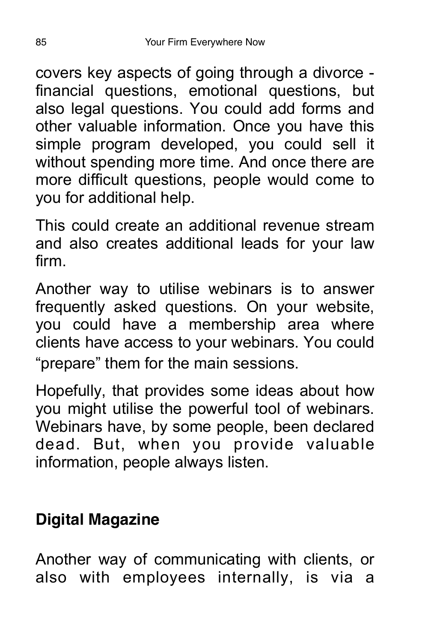covers key aspects of going through a divorce financial questions, emotional questions, but also legal questions. You could add forms and other valuable information. Once you have this simple program developed, you could sell it without spending more time. And once there are more difficult questions, people would come to you for additional help.

This could create an additional revenue stream and also creates additional leads for your law firm.

Another way to utilise webinars is to answer frequently asked questions. On your website, you could have a membership area where clients have access to your webinars. You could "prepare" them for the main sessions.

Hopefully, that provides some ideas about how you might utilise the powerful tool of webinars. Webinars have, by some people, been declared dead. But, when you provide valuable information, people always listen.

# **Digital Magazine**

Another way of communicating with clients, or also with employees internally, is via a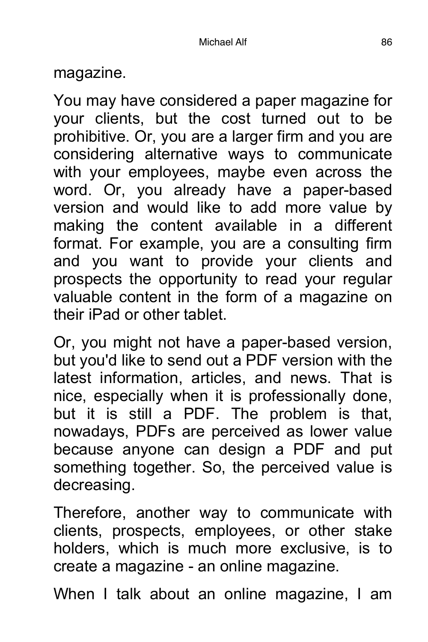magazine.

You may have considered a paper magazine for your clients, but the cost turned out to be prohibitive. Or, you are a larger firm and you are considering alternative ways to communicate with your employees, maybe even across the word. Or, you already have a paper-based version and would like to add more value by making the content available in a different format. For example, you are a consulting firm and you want to provide your clients and prospects the opportunity to read your regular valuable content in the form of a magazine on their iPad or other tablet.

Or, you might not have a paper-based version, but you'd like to send out a PDF version with the latest information, articles, and news. That is nice, especially when it is professionally done, but it is still a PDF. The problem is that, nowadays, PDFs are perceived as lower value because anyone can design a PDF and put something together. So, the perceived value is decreasing.

Therefore, another way to communicate with clients, prospects, employees, or other stake holders, which is much more exclusive, is to create a magazine - an online magazine.

When I talk about an online magazine, I am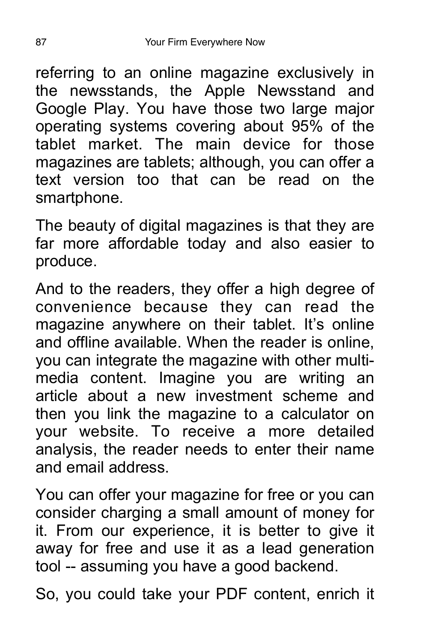referring to an online magazine exclusively in the newsstands, the Apple Newsstand and Google Play. You have those two large major operating systems covering about 95% of the tablet market. The main device for those magazines are tablets; although, you can offer a text version too that can be read on the smartphone.

The beauty of digital magazines is that they are far more affordable today and also easier to produce.

And to the readers, they offer a high degree of convenience because they can read the magazine anywhere on their tablet. It's online and offline available. When the reader is online, you can integrate the magazine with other multimedia content. Imagine you are writing an article about a new investment scheme and then you link the magazine to a calculator on your website. To receive a more detailed analysis, the reader needs to enter their name and email address.

You can offer your magazine for free or you can consider charging a small amount of money for it. From our experience, it is better to give it away for free and use it as a lead generation tool -- assuming you have a good backend.

So, you could take your PDF content, enrich it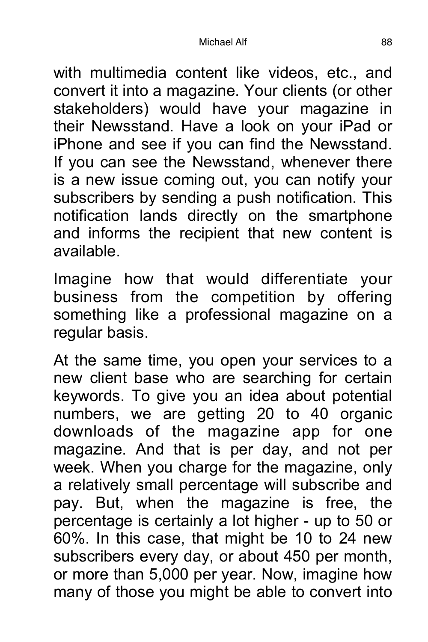#### Michael Alf 88

with multimedia content like videos, etc., and convert it into a magazine. Your clients (or other stakeholders) would have your magazine in their Newsstand. Have a look on your iPad or iPhone and see if you can find the Newsstand. If you can see the Newsstand, whenever there is a new issue coming out, you can notify your subscribers by sending a push notification. This notification lands directly on the smartphone and informs the recipient that new content is available.

Imagine how that would differentiate your business from the competition by offering something like a professional magazine on a regular basis.

At the same time, you open your services to a new client base who are searching for certain keywords. To give you an idea about potential numbers, we are getting 20 to 40 organic downloads of the magazine app for one magazine. And that is per day, and not per week. When you charge for the magazine, only a relatively small percentage will subscribe and pay. But, when the magazine is free, the percentage is certainly a lot higher - up to 50 or 60%. In this case, that might be 10 to 24 new subscribers every day, or about 450 per month, or more than 5,000 per year. Now, imagine how many of those you might be able to convert into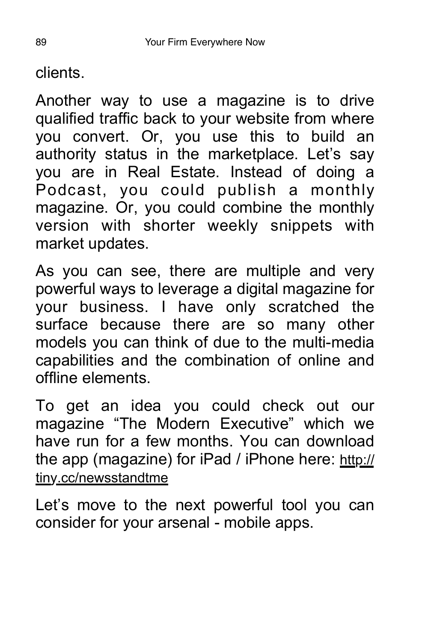clients.

Another way to use a magazine is to drive qualified traffic back to your website from where you convert. Or, you use this to build an authority status in the marketplace. Let's say you are in Real Estate. Instead of doing a Podcast, you could publish a monthly magazine. Or, you could combine the monthly version with shorter weekly snippets with market updates.

As you can see, there are multiple and very powerful ways to leverage a digital magazine for your business. I have only scratched the surface because there are so many other models you can think of due to the multi-media capabilities and the combination of online and offline elements.

To get an idea you could check out our magazine "The Modern Executive" which we have run for a few months. You can download the app (magazine) for iPad / iPhone here: [http://](http://tiny.cc/newsstandtme) [tiny.cc/newsstandtme](http://tiny.cc/newsstandtme)

Let's move to the next powerful tool you can consider for your arsenal - mobile apps.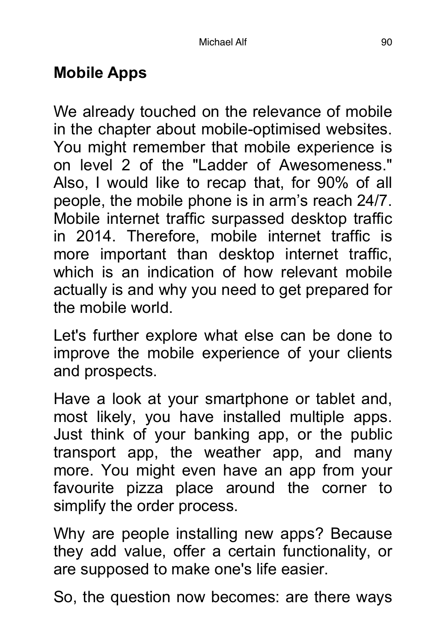# **Mobile Apps**

We already touched on the relevance of mobile in the chapter about mobile-optimised websites. You might remember that mobile experience is on level 2 of the "Ladder of Awesomeness." Also, I would like to recap that, for 90% of all people, the mobile phone is in arm's reach 24/7. Mobile internet traffic surpassed desktop traffic in 2014. Therefore, mobile internet traffic is more important than desktop internet traffic, which is an indication of how relevant mobile actually is and why you need to get prepared for the mobile world.

Let's further explore what else can be done to improve the mobile experience of your clients and prospects.

Have a look at your smartphone or tablet and, most likely, you have installed multiple apps. Just think of your banking app, or the public transport app, the weather app, and many more. You might even have an app from your favourite pizza place around the corner to simplify the order process.

Why are people installing new apps? Because they add value, offer a certain functionality, or are supposed to make one's life easier.

So, the question now becomes: are there ways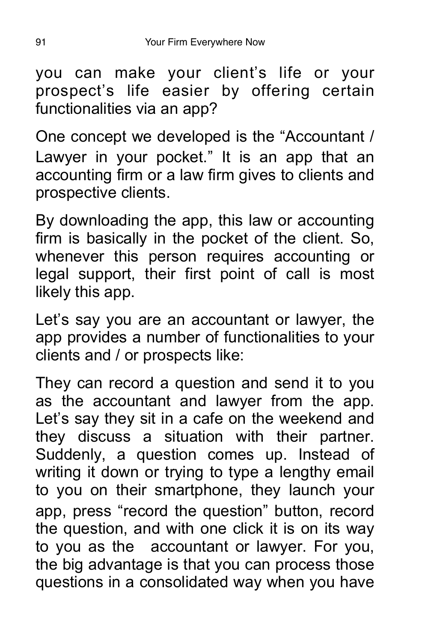you can make your client's life or your prospect's life easier by offering certain functionalities via an app?

One concept we developed is the "Accountant / Lawyer in your pocket." It is an app that an accounting firm or a law firm gives to clients and prospective clients.

By downloading the app, this law or accounting firm is basically in the pocket of the client. So, whenever this person requires accounting or legal support, their first point of call is most likely this app.

Let's say you are an accountant or lawyer, the app provides a number of functionalities to your clients and / or prospects like:

They can record a question and send it to you as the accountant and lawyer from the app. Let's say they sit in a cafe on the weekend and they discuss a situation with their partner. Suddenly, a question comes up. Instead of writing it down or trying to type a lengthy email to you on their smartphone, they launch your app, press "record the question" button, record the question, and with one click it is on its way to you as the accountant or lawyer. For you, the big advantage is that you can process those questions in a consolidated way when you have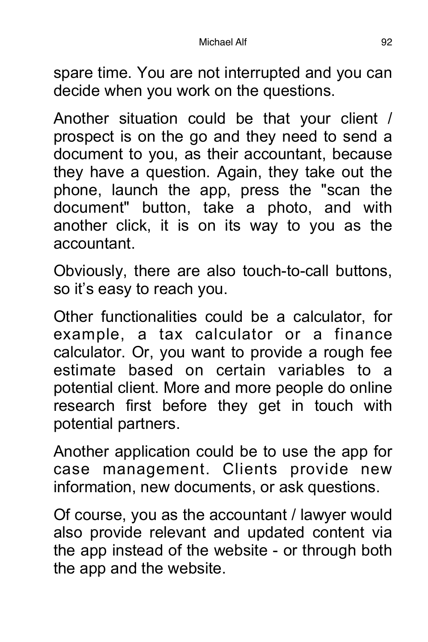spare time. You are not interrupted and you can decide when you work on the questions.

Another situation could be that your client / prospect is on the go and they need to send a document to you, as their accountant, because they have a question. Again, they take out the phone, launch the app, press the "scan the document" button, take a photo, and with another click, it is on its way to you as the accountant.

Obviously, there are also touch-to-call buttons, so it's easy to reach you.

Other functionalities could be a calculator, for example, a tax calculator or a finance calculator. Or, you want to provide a rough fee estimate based on certain variables to a potential client. More and more people do online research first before they get in touch with potential partners.

Another application could be to use the app for case management. Clients provide new information, new documents, or ask questions.

Of course, you as the accountant / lawyer would also provide relevant and updated content via the app instead of the website - or through both the app and the website.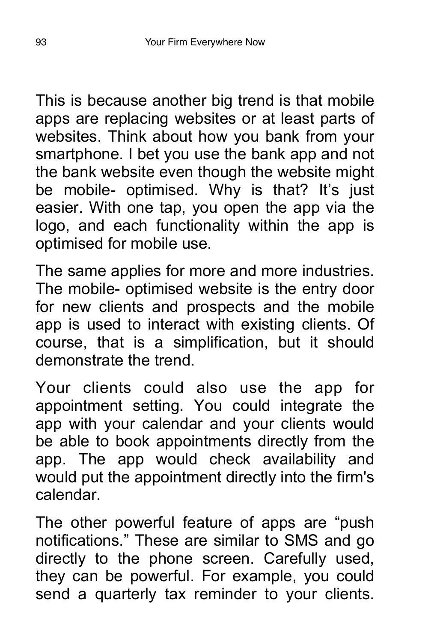This is because another big trend is that mobile apps are replacing websites or at least parts of websites. Think about how you bank from your smartphone. I bet you use the bank app and not the bank website even though the website might be mobile- optimised. Why is that? It's just easier. With one tap, you open the app via the logo, and each functionality within the app is optimised for mobile use.

The same applies for more and more industries. The mobile- optimised website is the entry door for new clients and prospects and the mobile app is used to interact with existing clients. Of course, that is a simplification, but it should demonstrate the trend.

Your clients could also use the app for appointment setting. You could integrate the app with your calendar and your clients would be able to book appointments directly from the app. The app would check availability and would put the appointment directly into the firm's calendar.

The other powerful feature of apps are "push notifications." These are similar to SMS and go directly to the phone screen. Carefully used, they can be powerful. For example, you could send a quarterly tax reminder to your clients.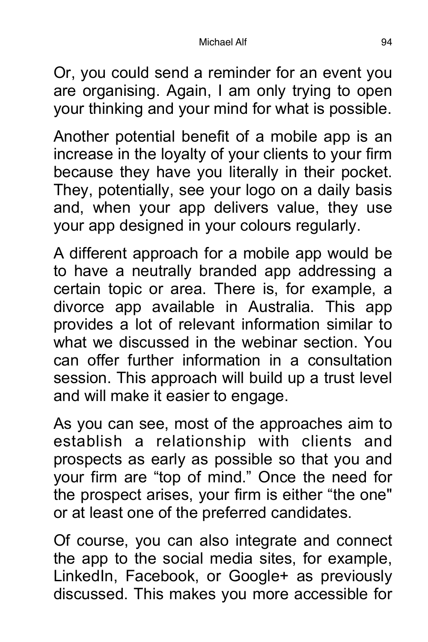Or, you could send a reminder for an event you are organising. Again, I am only trying to open your thinking and your mind for what is possible.

Another potential benefit of a mobile app is an increase in the loyalty of your clients to your firm because they have you literally in their pocket. They, potentially, see your logo on a daily basis and, when your app delivers value, they use your app designed in your colours regularly.

A different approach for a mobile app would be to have a neutrally branded app addressing a certain topic or area. There is, for example, a divorce app available in Australia. This app provides a lot of relevant information similar to what we discussed in the webinar section. You can offer further information in a consultation session. This approach will build up a trust level and will make it easier to engage.

As you can see, most of the approaches aim to establish a relationship with clients and prospects as early as possible so that you and your firm are "top of mind." Once the need for the prospect arises, your firm is either "the one" or at least one of the preferred candidates.

Of course, you can also integrate and connect the app to the social media sites, for example, LinkedIn, Facebook, or Google+ as previously discussed. This makes you more accessible for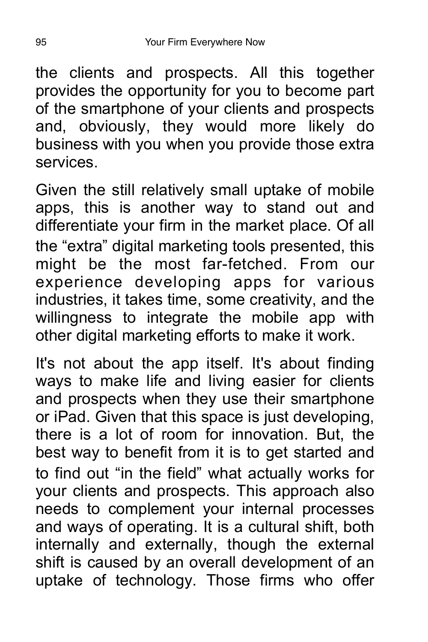the clients and prospects. All this together provides the opportunity for you to become part of the smartphone of your clients and prospects and, obviously, they would more likely do business with you when you provide those extra services.

Given the still relatively small uptake of mobile apps, this is another way to stand out and differentiate your firm in the market place. Of all the "extra" digital marketing tools presented, this might be the most far-fetched. From our experience developing apps for various industries, it takes time, some creativity, and the willingness to integrate the mobile app with other digital marketing efforts to make it work.

It's not about the app itself. It's about finding ways to make life and living easier for clients and prospects when they use their smartphone or iPad. Given that this space is just developing, there is a lot of room for innovation. But, the best way to benefit from it is to get started and to find out "in the field" what actually works for your clients and prospects. This approach also needs to complement your internal processes and ways of operating. It is a cultural shift, both internally and externally, though the external shift is caused by an overall development of an uptake of technology. Those firms who offer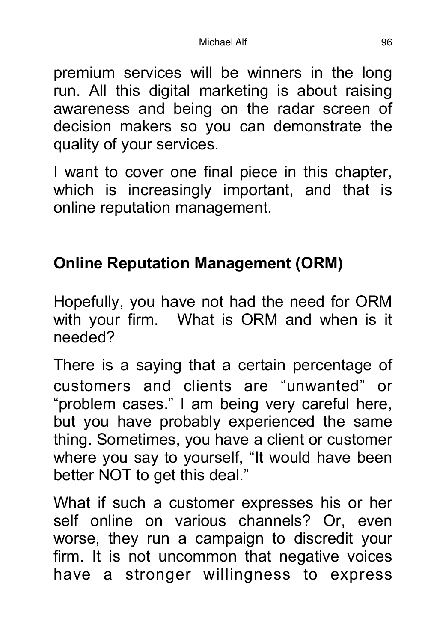premium services will be winners in the long run. All this digital marketing is about raising awareness and being on the radar screen of decision makers so you can demonstrate the quality of your services.

I want to cover one final piece in this chapter, which is increasingly important, and that is online reputation management.

# **Online Reputation Management (ORM)**

Hopefully, you have not had the need for ORM with your firm. What is ORM and when is it needed?

There is a saying that a certain percentage of customers and clients are "unwanted" or "problem cases." I am being very careful here, but you have probably experienced the same thing. Sometimes, you have a client or customer where you say to yourself, "It would have been better NOT to get this deal."

What if such a customer expresses his or her self online on various channels? Or, even worse, they run a campaign to discredit your firm. It is not uncommon that negative voices have a stronger willingness to express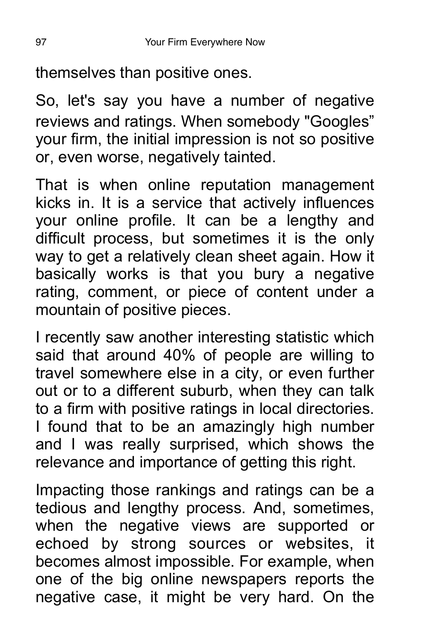themselves than positive ones.

So, let's say you have a number of negative reviews and ratings. When somebody "Googles" your firm, the initial impression is not so positive or, even worse, negatively tainted.

That is when online reputation management kicks in. It is a service that actively influences your online profile. It can be a lengthy and difficult process, but sometimes it is the only way to get a relatively clean sheet again. How it basically works is that you bury a negative rating, comment, or piece of content under a mountain of positive pieces.

I recently saw another interesting statistic which said that around 40% of people are willing to travel somewhere else in a city, or even further out or to a different suburb, when they can talk to a firm with positive ratings in local directories. I found that to be an amazingly high number and I was really surprised, which shows the relevance and importance of getting this right.

Impacting those rankings and ratings can be a tedious and lengthy process. And, sometimes, when the negative views are supported or echoed by strong sources or websites, it becomes almost impossible. For example, when one of the big online newspapers reports the negative case, it might be very hard. On the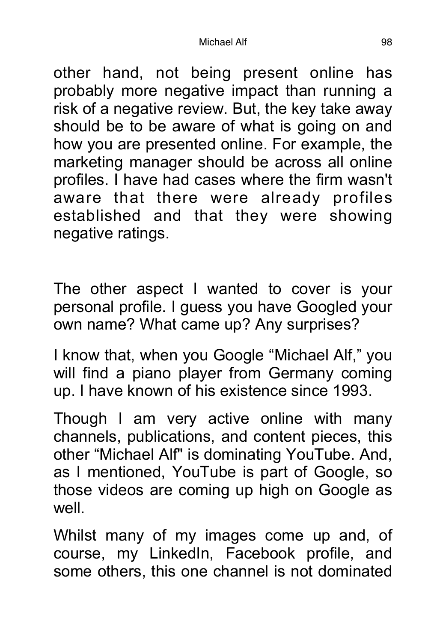other hand, not being present online has probably more negative impact than running a risk of a negative review. But, the key take away should be to be aware of what is going on and how you are presented online. For example, the marketing manager should be across all online profiles. I have had cases where the firm wasn't aware that there were already profiles established and that they were showing negative ratings.

The other aspect I wanted to cover is your personal profile. I guess you have Googled your own name? What came up? Any surprises?

I know that, when you Google "Michael Alf," you will find a piano player from Germany coming up. I have known of his existence since 1993.

Though I am very active online with many channels, publications, and content pieces, this other "Michael Alf" is dominating YouTube. And, as I mentioned, YouTube is part of Google, so those videos are coming up high on Google as well.

Whilst many of my images come up and, of course, my LinkedIn, Facebook profile, and some others, this one channel is not dominated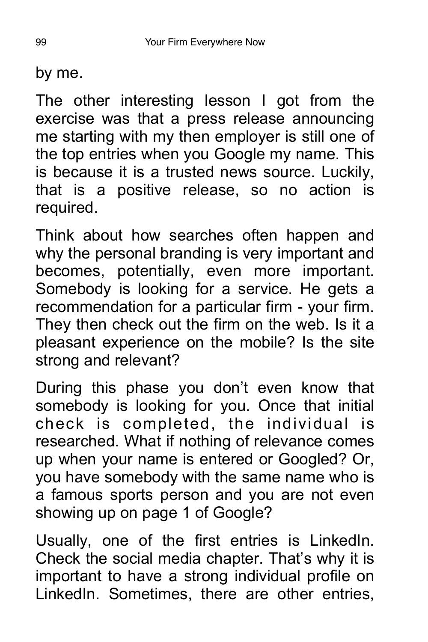by me.

The other interesting lesson I got from the exercise was that a press release announcing me starting with my then employer is still one of the top entries when you Google my name. This is because it is a trusted news source. Luckily, that is a positive release, so no action is required.

Think about how searches often happen and why the personal branding is very important and becomes, potentially, even more important. Somebody is looking for a service. He gets a recommendation for a particular firm - your firm. They then check out the firm on the web. Is it a pleasant experience on the mobile? Is the site strong and relevant?

During this phase you don't even know that somebody is looking for you. Once that initial check is completed, the individual is researched. What if nothing of relevance comes up when your name is entered or Googled? Or, you have somebody with the same name who is a famous sports person and you are not even showing up on page 1 of Google?

Usually, one of the first entries is LinkedIn. Check the social media chapter. That's why it is important to have a strong individual profile on LinkedIn. Sometimes, there are other entries,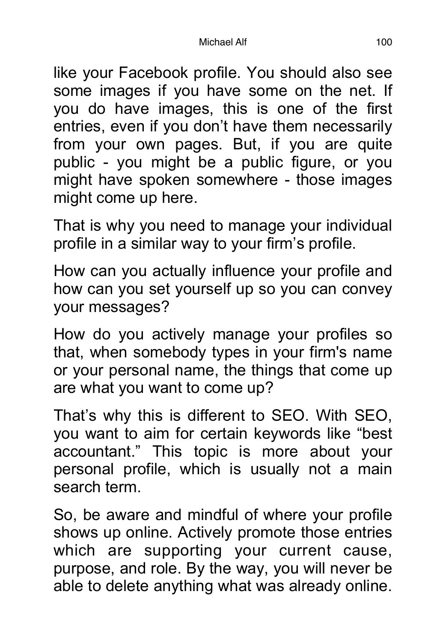like your Facebook profile. You should also see some images if you have some on the net. If you do have images, this is one of the first entries, even if you don't have them necessarily from your own pages. But, if you are quite public - you might be a public figure, or you might have spoken somewhere - those images might come up here.

That is why you need to manage your individual profile in a similar way to your firm's profile.

How can you actually influence your profile and how can you set yourself up so you can convey your messages?

How do you actively manage your profiles so that, when somebody types in your firm's name or your personal name, the things that come up are what you want to come up?

That's why this is different to SEO. With SEO, you want to aim for certain keywords like "best accountant." This topic is more about your personal profile, which is usually not a main search term.

So, be aware and mindful of where your profile shows up online. Actively promote those entries which are supporting your current cause, purpose, and role. By the way, you will never be able to delete anything what was already online.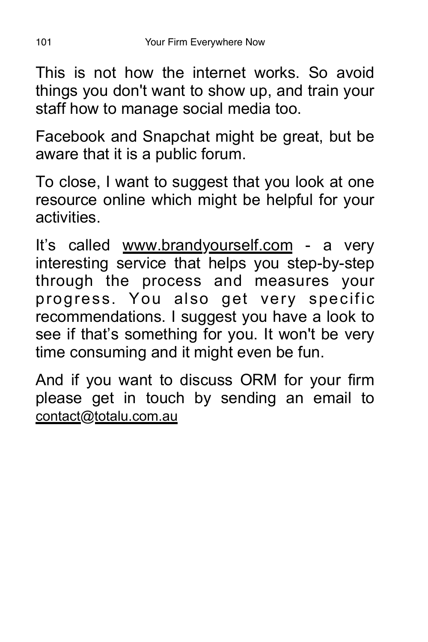This is not how the internet works. So avoid things you don't want to show up, and train your staff how to manage social media too.

Facebook and Snapchat might be great, but be aware that it is a public forum.

To close, I want to suggest that you look at one resource online which might be helpful for your activities.

It's called [www.brandyourself.com](http://www.brandyourself.com) - a very interesting service that helps you step-by-step through the process and measures your progress. You also get very specific recommendations. I suggest you have a look to see if that's something for you. It won't be very time consuming and it might even be fun.

And if you want to discuss ORM for your firm please get in touch by sending an email to [contact@totalu.com.au](mailto:contact@totalu.com.au)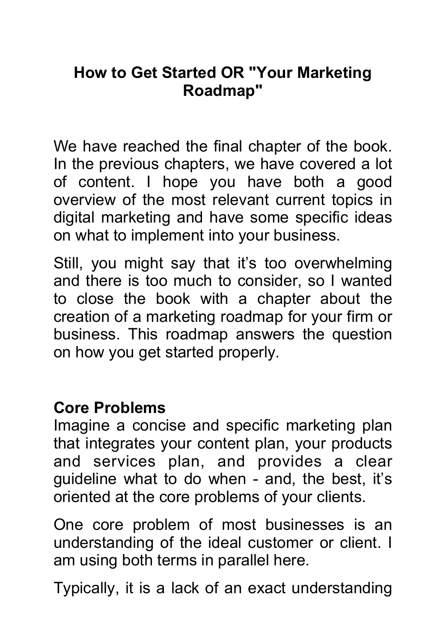# **How to Get Started OR "Your Marketing Roadmap"**

We have reached the final chapter of the book. In the previous chapters, we have covered a lot of content. I hope you have both a good overview of the most relevant current topics in digital marketing and have some specific ideas on what to implement into your business.

Still, you might say that it's too overwhelming and there is too much to consider, so I wanted to close the book with a chapter about the creation of a marketing roadmap for your firm or business. This roadmap answers the question on how you get started properly.

#### **Core Problems**

Imagine a concise and specific marketing plan that integrates your content plan, your products and services plan, and provides a clear guideline what to do when - and, the best, it's oriented at the core problems of your clients.

One core problem of most businesses is an understanding of the ideal customer or client. I am using both terms in parallel here.

Typically, it is a lack of an exact understanding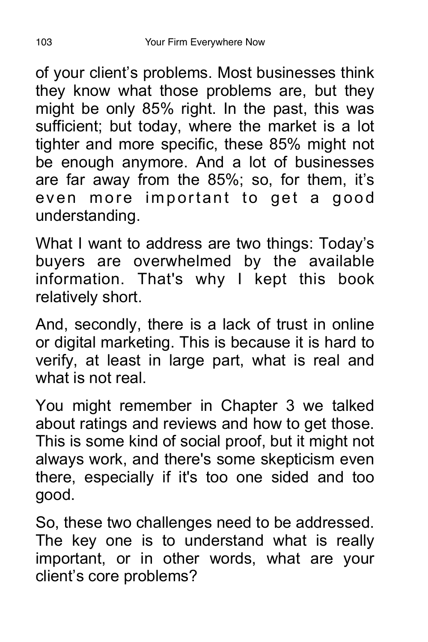of your client's problems. Most businesses think they know what those problems are, but they might be only 85% right. In the past, this was sufficient; but today, where the market is a lot tighter and more specific, these 85% might not be enough anymore. And a lot of businesses are far away from the 85%; so, for them, it's even more important to get a good understanding.

What I want to address are two things: Today's buyers are overwhelmed by the available information. That's why I kept this book relatively short.

And, secondly, there is a lack of trust in online or digital marketing. This is because it is hard to verify, at least in large part, what is real and what is not real.

You might remember in Chapter 3 we talked about ratings and reviews and how to get those. This is some kind of social proof, but it might not always work, and there's some skepticism even there, especially if it's too one sided and too good.

So, these two challenges need to be addressed. The key one is to understand what is really important, or in other words, what are your client's core problems?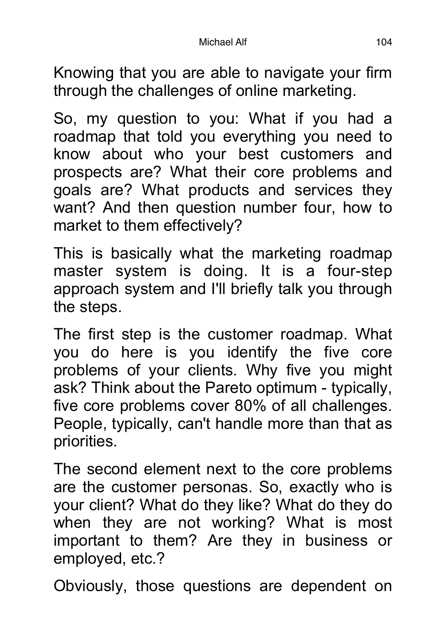Knowing that you are able to navigate your firm through the challenges of online marketing.

So, my question to you: What if you had a roadmap that told you everything you need to know about who your best customers and prospects are? What their core problems and goals are? What products and services they want? And then question number four, how to market to them effectively?

This is basically what the marketing roadmap master system is doing. It is a four-step approach system and I'll briefly talk you through the steps.

The first step is the customer roadmap. What you do here is you identify the five core problems of your clients. Why five you might ask? Think about the Pareto optimum - typically, five core problems cover 80% of all challenges. People, typically, can't handle more than that as priorities.

The second element next to the core problems are the customer personas. So, exactly who is your client? What do they like? What do they do when they are not working? What is most important to them? Are they in business or employed, etc.?

Obviously, those questions are dependent on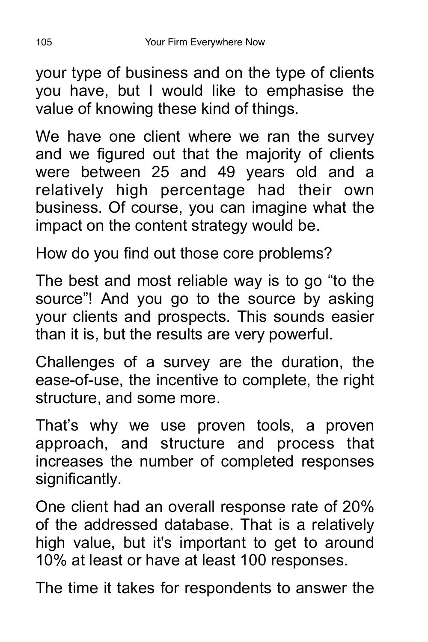your type of business and on the type of clients you have, but I would like to emphasise the value of knowing these kind of things.

We have one client where we ran the survey and we figured out that the majority of clients were between 25 and 49 years old and a relatively high percentage had their own business. Of course, you can imagine what the impact on the content strategy would be.

How do you find out those core problems?

The best and most reliable way is to go "to the source"! And you go to the source by asking your clients and prospects. This sounds easier than it is, but the results are very powerful.

Challenges of a survey are the duration, the ease-of-use, the incentive to complete, the right structure, and some more.

That's why we use proven tools, a proven approach, and structure and process that increases the number of completed responses significantly.

One client had an overall response rate of 20% of the addressed database. That is a relatively high value, but it's important to get to around 10% at least or have at least 100 responses.

The time it takes for respondents to answer the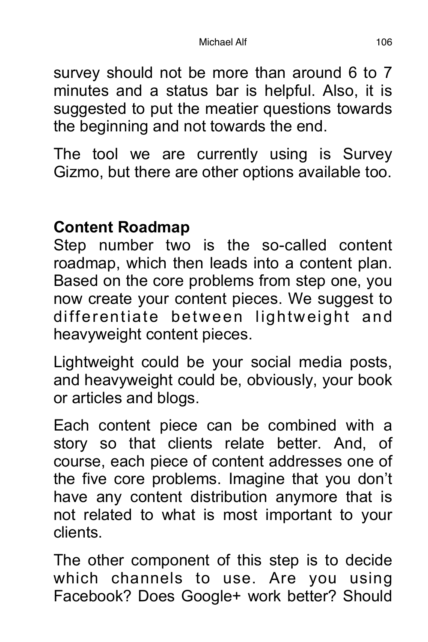survey should not be more than around 6 to 7 minutes and a status bar is helpful. Also, it is suggested to put the meatier questions towards the beginning and not towards the end.

The tool we are currently using is Survey Gizmo, but there are other options available too.

#### **Content Roadmap**

Step number two is the so-called content roadmap, which then leads into a content plan. Based on the core problems from step one, you now create your content pieces. We suggest to differentiate between lightweight and heavyweight content pieces.

Lightweight could be your social media posts, and heavyweight could be, obviously, your book or articles and blogs.

Each content piece can be combined with a story so that clients relate better. And, of course, each piece of content addresses one of the five core problems. Imagine that you don't have any content distribution anymore that is not related to what is most important to your clients.

The other component of this step is to decide which channels to use. Are you using Facebook? Does Google+ work better? Should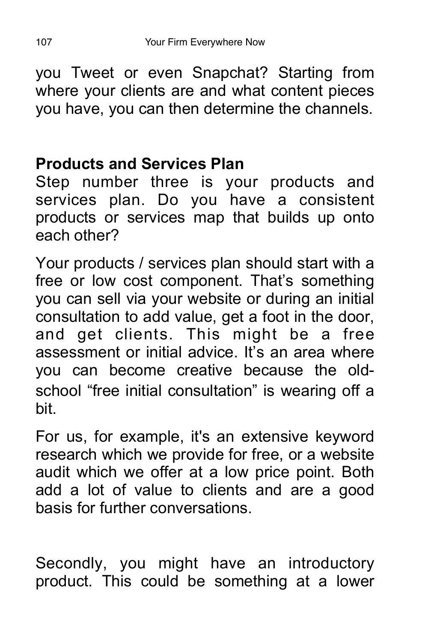you Tweet or even Snapchat? Starting from where your clients are and what content pieces you have, you can then determine the channels.

#### **Products and Services Plan**

Step number three is your products and services plan. Do you have a consistent products or services map that builds up onto each other?

Your products / services plan should start with a free or low cost component. That's something you can sell via your website or during an initial consultation to add value, get a foot in the door, and get clients. This might be a free assessment or initial advice. It's an area where you can become creative because the oldschool "free initial consultation" is wearing off a bit.

For us, for example, it's an extensive keyword research which we provide for free, or a website audit which we offer at a low price point. Both add a lot of value to clients and are a good basis for further conversations.

Secondly, you might have an introductory product. This could be something at a lower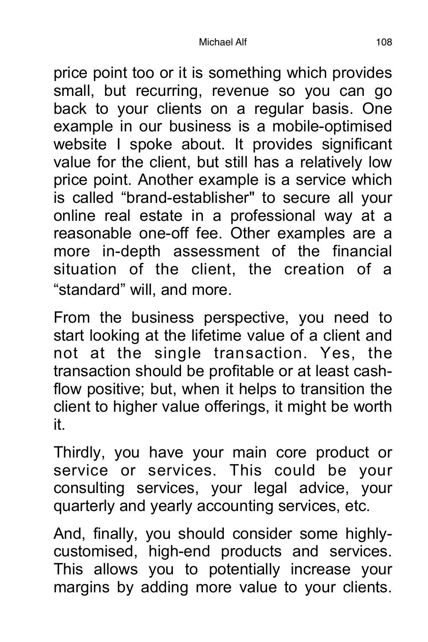price point too or it is something which provides small, but recurring, revenue so you can go back to your clients on a regular basis. One example in our business is a mobile-optimised website I spoke about. It provides significant value for the client, but still has a relatively low price point. Another example is a service which is called "brand-establisher" to secure all your online real estate in a professional way at a reasonable one-off fee. Other examples are a more in-depth assessment of the financial situation of the client, the creation of a "standard" will, and more.

From the business perspective, you need to start looking at the lifetime value of a client and not at the single transaction. Yes, the transaction should be profitable or at least cashflow positive; but, when it helps to transition the client to higher value offerings, it might be worth it.

Thirdly, you have your main core product or service or services. This could be your consulting services, your legal advice, your quarterly and yearly accounting services, etc.

And, finally, you should consider some highlycustomised, high-end products and services. This allows you to potentially increase your margins by adding more value to your clients.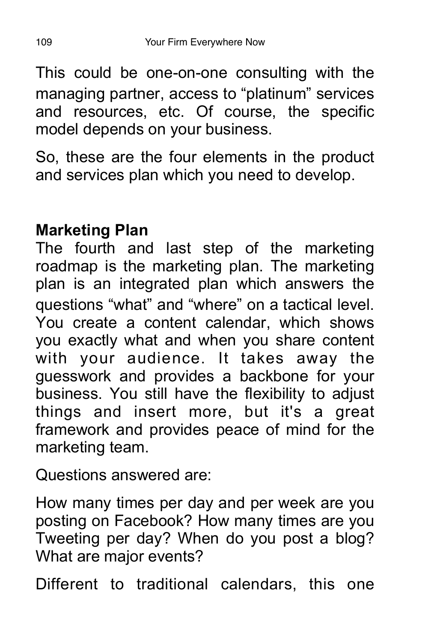This could be one-on-one consulting with the managing partner, access to "platinum" services and resources, etc. Of course, the specific model depends on your business.

So, these are the four elements in the product and services plan which you need to develop.

#### **Marketing Plan**

The fourth and last step of the marketing roadmap is the marketing plan. The marketing plan is an integrated plan which answers the questions "what" and "where" on a tactical level. You create a content calendar, which shows you exactly what and when you share content with your audience. It takes away the guesswork and provides a backbone for your business. You still have the flexibility to adjust things and insert more, but it's a great framework and provides peace of mind for the marketing team.

Questions answered are:

How many times per day and per week are you posting on Facebook? How many times are you Tweeting per day? When do you post a blog? What are major events?

Different to traditional calendars, this one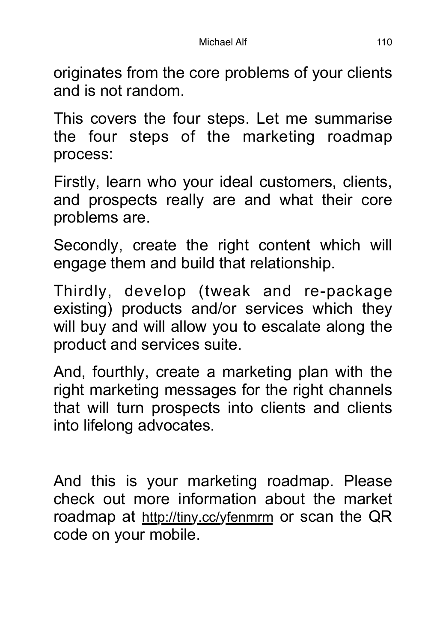originates from the core problems of your clients and is not random.

This covers the four steps. Let me summarise the four steps of the marketing roadmap process:

Firstly, learn who your ideal customers, clients, and prospects really are and what their core problems are.

Secondly, create the right content which will engage them and build that relationship.

Thirdly, develop (tweak and re-package existing) products and/or services which they will buy and will allow you to escalate along the product and services suite.

And, fourthly, create a marketing plan with the right marketing messages for the right channels that will turn prospects into clients and clients into lifelong advocates.

And this is your marketing roadmap. Please check out more information about the market roadmap at <http://tiny.cc/yfenmrm> or scan the QR code on your mobile.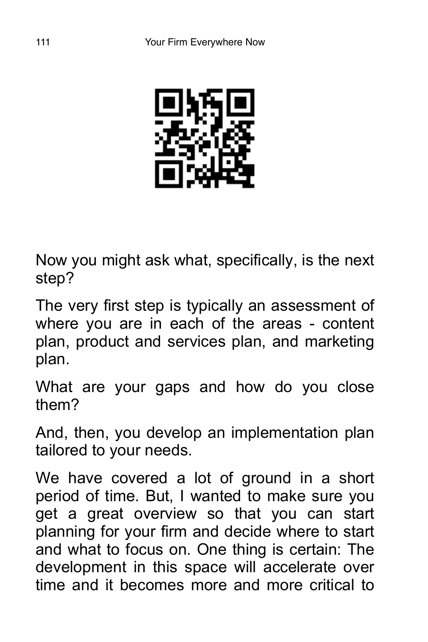

Now you might ask what, specifically, is the next step?

The very first step is typically an assessment of where you are in each of the areas - content plan, product and services plan, and marketing plan.

What are your gaps and how do you close them?

And, then, you develop an implementation plan tailored to your needs.

We have covered a lot of ground in a short period of time. But, I wanted to make sure you get a great overview so that you can start planning for your firm and decide where to start and what to focus on. One thing is certain: The development in this space will accelerate over time and it becomes more and more critical to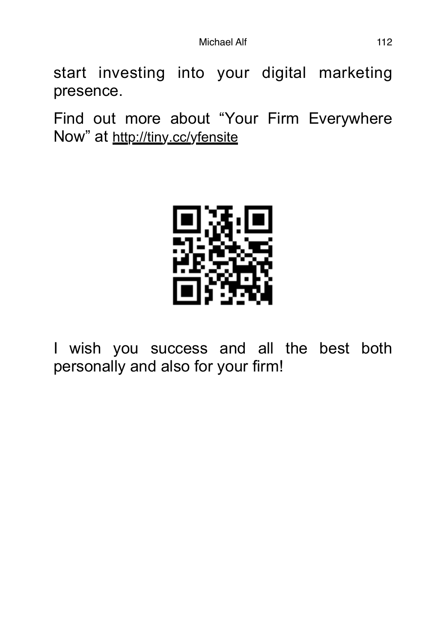start investing into your digital marketing presence.

Find out more about "Your Firm Everywhere Now" at <http://tiny.cc/yfensite>



I wish you success and all the best both personally and also for your firm!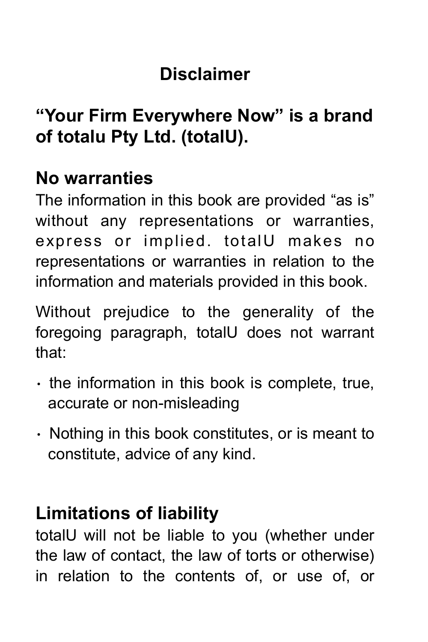# **Disclaimer**

## **"Your Firm Everywhere Now" is a brand of totalu Pty Ltd. (totalU).**

### **No warranties**

The information in this book are provided "as is" without any representations or warranties, express or implied. totalU makes no representations or warranties in relation to the information and materials provided in this book.

Without prejudice to the generality of the foregoing paragraph, totalU does not warrant that:

- the information in this book is complete, true, accurate or non-misleading
- Nothing in this book constitutes, or is meant to constitute, advice of any kind.

### **Limitations of liability**

totalU will not be liable to you (whether under the law of contact, the law of torts or otherwise) in relation to the contents of, or use of, or